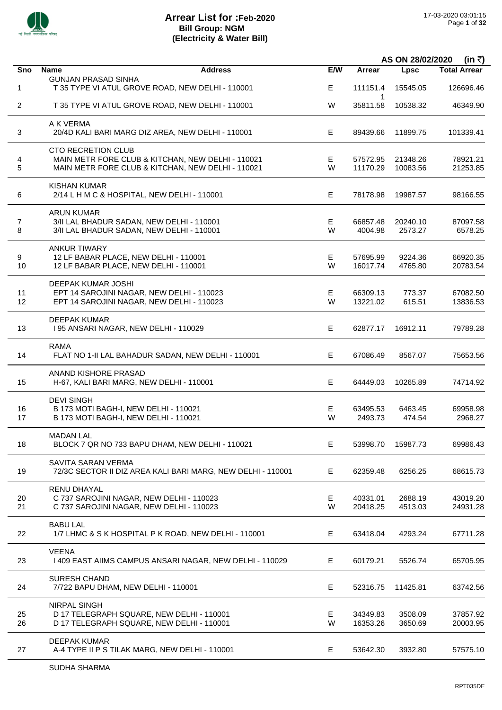

|                |                                                                                                                                     |         | AS ON 28/02/2020<br>(in ₹) |                      |                      |  |
|----------------|-------------------------------------------------------------------------------------------------------------------------------------|---------|----------------------------|----------------------|----------------------|--|
| Sno            | <b>Name</b><br><b>Address</b>                                                                                                       | E/W     | Arrear                     | Lpsc                 | <b>Total Arrear</b>  |  |
| 1              | <b>GUNJAN PRASAD SINHA</b><br>T 35 TYPE VI ATUL GROVE ROAD, NEW DELHI - 110001                                                      | E       | 111151.4                   | 15545.05             | 126696.46            |  |
| $\overline{2}$ | T 35 TYPE VI ATUL GROVE ROAD, NEW DELHI - 110001                                                                                    | W       | $\mathbf{1}$<br>35811.58   | 10538.32             | 46349.90             |  |
| 3              | A K VERMA<br>20/4D KALI BARI MARG DIZ AREA, NEW DELHI - 110001                                                                      | E.      | 89439.66                   | 11899.75             | 101339.41            |  |
| 4<br>5         | <b>CTO RECRETION CLUB</b><br>MAIN METR FORE CLUB & KITCHAN, NEW DELHI - 110021<br>MAIN METR FORE CLUB & KITCHAN, NEW DELHI - 110021 | Е<br>W  | 57572.95<br>11170.29       | 21348.26<br>10083.56 | 78921.21<br>21253.85 |  |
| 6              | <b>KISHAN KUMAR</b><br>2/14 L H M C & HOSPITAL, NEW DELHI - 110001                                                                  | E.      | 78178.98                   | 19987.57             | 98166.55             |  |
| 7<br>8         | <b>ARUN KUMAR</b><br>3/II LAL BHADUR SADAN, NEW DELHI - 110001<br>3/II LAL BHADUR SADAN, NEW DELHI - 110001                         | Е<br>W  | 66857.48<br>4004.98        | 20240.10<br>2573.27  | 87097.58<br>6578.25  |  |
| 9<br>10        | <b>ANKUR TIWARY</b><br>12 LF BABAR PLACE, NEW DELHI - 110001<br>12 LF BABAR PLACE, NEW DELHI - 110001                               | Е<br>W  | 57695.99<br>16017.74       | 9224.36<br>4765.80   | 66920.35<br>20783.54 |  |
| 11<br>12       | DEEPAK KUMAR JOSHI<br>EPT 14 SAROJINI NAGAR, NEW DELHI - 110023<br>EPT 14 SAROJINI NAGAR, NEW DELHI - 110023                        | Е<br>W  | 66309.13<br>13221.02       | 773.37<br>615.51     | 67082.50<br>13836.53 |  |
| 13             | <b>DEEPAK KUMAR</b><br>I 95 ANSARI NAGAR, NEW DELHI - 110029                                                                        | E.      | 62877.17                   | 16912.11             | 79789.28             |  |
| 14             | <b>RAMA</b><br>FLAT NO 1-II LAL BAHADUR SADAN, NEW DELHI - 110001                                                                   | E.      | 67086.49                   | 8567.07              | 75653.56             |  |
| 15             | ANAND KISHORE PRASAD<br>H-67, KALI BARI MARG, NEW DELHI - 110001                                                                    | E.      | 64449.03                   | 10265.89             | 74714.92             |  |
| 16<br>17       | <b>DEVI SINGH</b><br>B 173 MOTI BAGH-I, NEW DELHI - 110021<br>B 173 MOTI BAGH-I, NEW DELHI - 110021                                 | Е<br>W  | 63495.53<br>2493.73        | 6463.45<br>474.54    | 69958.98<br>2968.27  |  |
| 18             | <b>MADAN LAL</b><br>BLOCK 7 QR NO 733 BAPU DHAM, NEW DELHI - 110021                                                                 | E       | 53998.70                   | 15987.73             | 69986.43             |  |
| 19             | SAVITA SARAN VERMA<br>72/3C SECTOR II DIZ AREA KALI BARI MARG, NEW DELHI - 110001                                                   | E.      | 62359.48                   | 6256.25              | 68615.73             |  |
| 20<br>21       | RENU DHAYAL<br>C 737 SAROJINI NAGAR, NEW DELHI - 110023<br>C 737 SAROJINI NAGAR, NEW DELHI - 110023                                 | Е<br>W  | 40331.01<br>20418.25       | 2688.19<br>4513.03   | 43019.20<br>24931.28 |  |
| 22             | <b>BABU LAL</b><br>1/7 LHMC & S K HOSPITAL P K ROAD, NEW DELHI - 110001                                                             | Е       | 63418.04                   | 4293.24              | 67711.28             |  |
| 23             | <b>VEENA</b><br>I 409 EAST AIIMS CAMPUS ANSARI NAGAR, NEW DELHI - 110029                                                            | E       | 60179.21                   | 5526.74              | 65705.95             |  |
| 24             | <b>SURESH CHAND</b><br>7/722 BAPU DHAM, NEW DELHI - 110001                                                                          | Е       | 52316.75                   | 11425.81             | 63742.56             |  |
| 25<br>26       | <b>NIRPAL SINGH</b><br>D 17 TELEGRAPH SQUARE, NEW DELHI - 110001<br>D 17 TELEGRAPH SQUARE, NEW DELHI - 110001                       | E.<br>W | 34349.83<br>16353.26       | 3508.09<br>3650.69   | 37857.92<br>20003.95 |  |
| 27             | <b>DEEPAK KUMAR</b><br>A-4 TYPE II P S TILAK MARG, NEW DELHI - 110001                                                               | Е       | 53642.30                   | 3932.80              | 57575.10             |  |
|                |                                                                                                                                     |         |                            |                      |                      |  |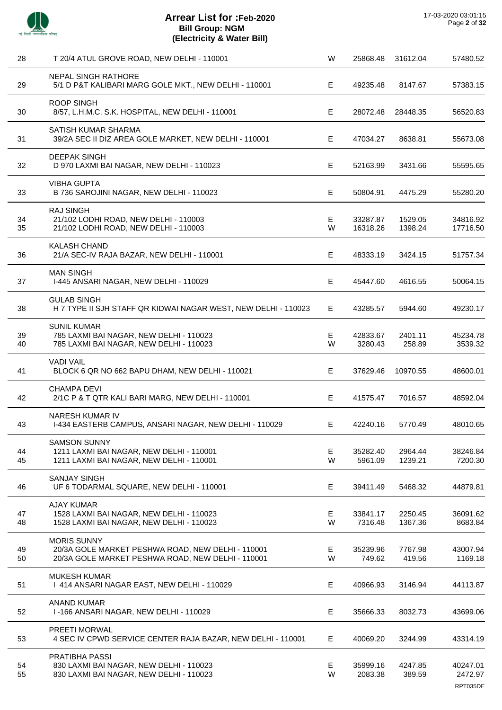

| 28       | T 20/4 ATUL GROVE ROAD, NEW DELHI - 110001                                                                                   | W      | 25868.48             | 31612.04           | 57480.52                        |
|----------|------------------------------------------------------------------------------------------------------------------------------|--------|----------------------|--------------------|---------------------------------|
| 29       | <b>NEPAL SINGH RATHORE</b><br>5/1 D P&T KALIBARI MARG GOLE MKT., NEW DELHI - 110001                                          | Е      | 49235.48             | 8147.67            | 57383.15                        |
| 30       | <b>ROOP SINGH</b><br>8/57, L.H.M.C. S.K. HOSPITAL, NEW DELHI - 110001                                                        | E      | 28072.48             | 28448.35           | 56520.83                        |
| 31       | SATISH KUMAR SHARMA<br>39/2A SEC II DIZ AREA GOLE MARKET, NEW DELHI - 110001                                                 | E      | 47034.27             | 8638.81            | 55673.08                        |
| 32       | <b>DEEPAK SINGH</b><br>D 970 LAXMI BAI NAGAR, NEW DELHI - 110023                                                             | Е      | 52163.99             | 3431.66            | 55595.65                        |
| 33       | <b>VIBHA GUPTA</b><br>B 736 SAROJINI NAGAR, NEW DELHI - 110023                                                               | Е      | 50804.91             | 4475.29            | 55280.20                        |
| 34<br>35 | <b>RAJ SINGH</b><br>21/102 LODHI ROAD, NEW DELHI - 110003<br>21/102 LODHI ROAD, NEW DELHI - 110003                           | Е<br>W | 33287.87<br>16318.26 | 1529.05<br>1398.24 | 34816.92<br>17716.50            |
| 36       | <b>KALASH CHAND</b><br>21/A SEC-IV RAJA BAZAR, NEW DELHI - 110001                                                            | Е      | 48333.19             | 3424.15            | 51757.34                        |
| 37       | <b>MAN SINGH</b><br>I-445 ANSARI NAGAR, NEW DELHI - 110029                                                                   | E      | 45447.60             | 4616.55            | 50064.15                        |
| 38       | <b>GULAB SINGH</b><br>H 7 TYPE II SJH STAFF QR KIDWAI NAGAR WEST, NEW DELHI - 110023                                         | Е      | 43285.57             | 5944.60            | 49230.17                        |
| 39<br>40 | <b>SUNIL KUMAR</b><br>785 LAXMI BAI NAGAR, NEW DELHI - 110023<br>785 LAXMI BAI NAGAR, NEW DELHI - 110023                     | Е<br>W | 42833.67<br>3280.43  | 2401.11<br>258.89  | 45234.78<br>3539.32             |
| 41       | <b>VADI VAIL</b><br>BLOCK 6 QR NO 662 BAPU DHAM, NEW DELHI - 110021                                                          | Е      | 37629.46             | 10970.55           | 48600.01                        |
| 42       | <b>CHAMPA DEVI</b><br>2/1C P & T QTR KALI BARI MARG, NEW DELHI - 110001                                                      | Е      | 41575.47             | 7016.57            | 48592.04                        |
| 43       | NARESH KUMAR IV<br>I-434 EASTERB CAMPUS, ANSARI NAGAR, NEW DELHI - 110029                                                    | E      | 42240.16             | 5770.49            | 48010.65                        |
| 44<br>45 | <b>SAMSON SUNNY</b><br>1211 LAXMI BAI NAGAR, NEW DELHI - 110001<br>1211 LAXMI BAI NAGAR, NEW DELHI - 110001                  | Е<br>W | 35282.40<br>5961.09  | 2964.44<br>1239.21 | 38246.84<br>7200.30             |
| 46       | <b>SANJAY SINGH</b><br>UF 6 TODARMAL SQUARE, NEW DELHI - 110001                                                              | Е      | 39411.49             | 5468.32            | 44879.81                        |
| 47<br>48 | <b>AJAY KUMAR</b><br>1528 LAXMI BAI NAGAR, NEW DELHI - 110023<br>1528 LAXMI BAI NAGAR, NEW DELHI - 110023                    | Е<br>W | 33841.17<br>7316.48  | 2250.45<br>1367.36 | 36091.62<br>8683.84             |
| 49<br>50 | <b>MORIS SUNNY</b><br>20/3A GOLE MARKET PESHWA ROAD, NEW DELHI - 110001<br>20/3A GOLE MARKET PESHWA ROAD, NEW DELHI - 110001 | Е<br>W | 35239.96<br>749.62   | 7767.98<br>419.56  | 43007.94<br>1169.18             |
| 51       | <b>MUKESH KUMAR</b><br>1 414 ANSARI NAGAR EAST, NEW DELHI - 110029                                                           | E      | 40966.93             | 3146.94            | 44113.87                        |
| 52       | <b>ANAND KUMAR</b><br>I-166 ANSARI NAGAR, NEW DELHI - 110029                                                                 | Е      | 35666.33             | 8032.73            | 43699.06                        |
| 53       | PREETI MORWAL<br>4 SEC IV CPWD SERVICE CENTER RAJA BAZAR, NEW DELHI - 110001                                                 | Е      | 40069.20             | 3244.99            | 43314.19                        |
| 54<br>55 | PRATIBHA PASSI<br>830 LAXMI BAI NAGAR, NEW DELHI - 110023<br>830 LAXMI BAI NAGAR, NEW DELHI - 110023                         | Е<br>W | 35999.16<br>2083.38  | 4247.85<br>389.59  | 40247.01<br>2472.97<br>RPT035DE |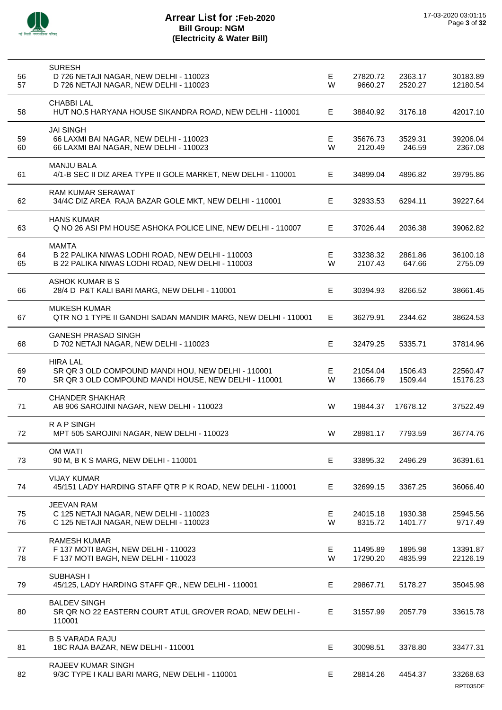

| 56<br>57 | <b>SURESH</b><br>D 726 NETAJI NAGAR, NEW DELHI - 110023<br>D 726 NETAJI NAGAR, NEW DELHI - 110023                             | Е<br>W  | 27820.72<br>9660.27  | 2363.17<br>2520.27 | 30183.89<br>12180.54 |
|----------|-------------------------------------------------------------------------------------------------------------------------------|---------|----------------------|--------------------|----------------------|
| 58       | <b>CHABBILAL</b><br>HUT NO.5 HARYANA HOUSE SIKANDRA ROAD, NEW DELHI - 110001                                                  | E.      | 38840.92             | 3176.18            | 42017.10             |
| 59<br>60 | <b>JAI SINGH</b><br>66 LAXMI BAI NAGAR, NEW DELHI - 110023<br>66 LAXMI BAI NAGAR, NEW DELHI - 110023                          | Е<br>W  | 35676.73<br>2120.49  | 3529.31<br>246.59  | 39206.04<br>2367.08  |
| 61       | <b>MANJU BALA</b><br>4/1-B SEC II DIZ AREA TYPE II GOLE MARKET, NEW DELHI - 110001                                            | E.      | 34899.04             | 4896.82            | 39795.86             |
| 62       | <b>RAM KUMAR SERAWAT</b><br>34/4C DIZ AREA RAJA BAZAR GOLE MKT, NEW DELHI - 110001                                            | E       | 32933.53             | 6294.11            | 39227.64             |
| 63       | <b>HANS KUMAR</b><br>Q NO 26 ASI PM HOUSE ASHOKA POLICE LINE, NEW DELHI - 110007                                              | E       | 37026.44             | 2036.38            | 39062.82             |
| 64<br>65 | <b>MAMTA</b><br>B 22 PALIKA NIWAS LODHI ROAD, NEW DELHI - 110003<br>B 22 PALIKA NIWAS LODHI ROAD, NEW DELHI - 110003          | E.<br>W | 33238.32<br>2107.43  | 2861.86<br>647.66  | 36100.18<br>2755.09  |
| 66       | ASHOK KUMAR B S<br>28/4 D P&T KALI BARI MARG, NEW DELHI - 110001                                                              | Е       | 30394.93             | 8266.52            | 38661.45             |
| 67       | <b>MUKESH KUMAR</b><br>QTR NO 1 TYPE II GANDHI SADAN MANDIR MARG, NEW DELHI - 110001                                          | E.      | 36279.91             | 2344.62            | 38624.53             |
| 68       | <b>GANESH PRASAD SINGH</b><br>D 702 NETAJI NAGAR, NEW DELHI - 110023                                                          | E       | 32479.25             | 5335.71            | 37814.96             |
| 69<br>70 | <b>HIRA LAL</b><br>SR QR 3 OLD COMPOUND MANDI HOU, NEW DELHI - 110001<br>SR QR 3 OLD COMPOUND MANDI HOUSE, NEW DELHI - 110001 | Е<br>W  | 21054.04<br>13666.79 | 1506.43<br>1509.44 | 22560.47<br>15176.23 |
| 71       | <b>CHANDER SHAKHAR</b><br>AB 906 SAROJINI NAGAR, NEW DELHI - 110023                                                           | W       | 19844.37             | 17678.12           | 37522.49             |
| 72       | <b>RAPSINGH</b><br>MPT 505 SAROJINI NAGAR, NEW DELHI - 110023                                                                 | W       | 28981.17             | 7793.59            | 36774.76             |
| 73       | <b>OM WATI</b><br>90 M, B K S MARG, NEW DELHI - 110001                                                                        | Е       | 33895.32             | 2496.29            | 36391.61             |
| 74       | <b>VIJAY KUMAR</b><br>45/151 LADY HARDING STAFF QTR P K ROAD, NEW DELHI - 110001                                              | Е       | 32699.15             | 3367.25            | 36066.40             |
| 75<br>76 | <b>JEEVAN RAM</b><br>C 125 NETAJI NAGAR, NEW DELHI - 110023<br>C 125 NETAJI NAGAR, NEW DELHI - 110023                         | E<br>W  | 24015.18<br>8315.72  | 1930.38<br>1401.77 | 25945.56<br>9717.49  |
| 77<br>78 | <b>RAMESH KUMAR</b><br>F 137 MOTI BAGH, NEW DELHI - 110023<br>F 137 MOTI BAGH, NEW DELHI - 110023                             | Е<br>W  | 11495.89<br>17290.20 | 1895.98<br>4835.99 | 13391.87<br>22126.19 |
| 79       | SUBHASH I<br>45/125, LADY HARDING STAFF QR., NEW DELHI - 110001                                                               | E.      | 29867.71             | 5178.27            | 35045.98             |
| 80       | <b>BALDEV SINGH</b><br>SR QR NO 22 EASTERN COURT ATUL GROVER ROAD, NEW DELHI -<br>110001                                      | E       | 31557.99             | 2057.79            | 33615.78             |
| 81       | <b>B S VARADA RAJU</b><br>18C RAJA BAZAR, NEW DELHI - 110001                                                                  | Е       | 30098.51             | 3378.80            | 33477.31             |
| 82       | <b>RAJEEV KUMAR SINGH</b><br>9/3C TYPE I KALI BARI MARG, NEW DELHI - 110001                                                   | Е       | 28814.26             | 4454.37            | 33268.63<br>RPT035DE |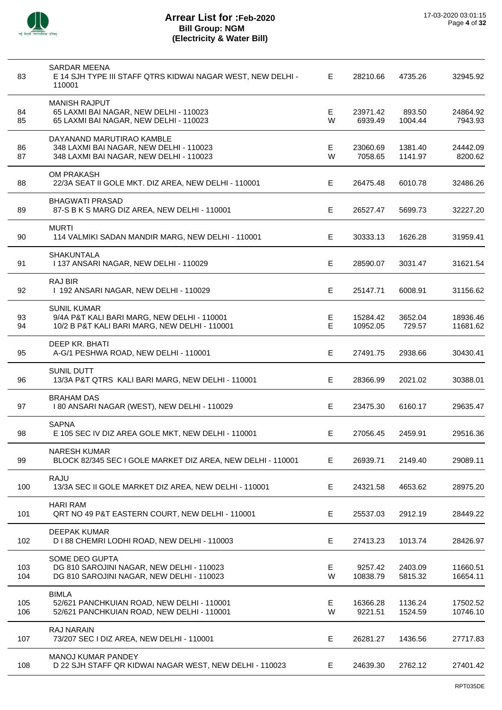

| 83         | SARDAR MEENA<br>E 14 SJH TYPE III STAFF QTRS KIDWAI NAGAR WEST, NEW DELHI -<br>110001                              | E      | 28210.66             | 4735.26            | 32945.92             |
|------------|--------------------------------------------------------------------------------------------------------------------|--------|----------------------|--------------------|----------------------|
| 84<br>85   | <b>MANISH RAJPUT</b><br>65 LAXMI BAI NAGAR, NEW DELHI - 110023<br>65 LAXMI BAI NAGAR, NEW DELHI - 110023           | E<br>W | 23971.42<br>6939.49  | 893.50<br>1004.44  | 24864.92<br>7943.93  |
| 86<br>87   | DAYANAND MARUTIRAO KAMBLE<br>348 LAXMI BAI NAGAR, NEW DELHI - 110023<br>348 LAXMI BAI NAGAR, NEW DELHI - 110023    | E<br>W | 23060.69<br>7058.65  | 1381.40<br>1141.97 | 24442.09<br>8200.62  |
| 88         | <b>OM PRAKASH</b><br>22/3A SEAT II GOLE MKT. DIZ AREA, NEW DELHI - 110001                                          | E      | 26475.48             | 6010.78            | 32486.26             |
| 89         | <b>BHAGWATI PRASAD</b><br>87-S B K S MARG DIZ AREA, NEW DELHI - 110001                                             | E      | 26527.47             | 5699.73            | 32227.20             |
| 90         | <b>MURTI</b><br>114 VALMIKI SADAN MANDIR MARG, NEW DELHI - 110001                                                  | E      | 30333.13             | 1626.28            | 31959.41             |
| 91         | <b>SHAKUNTALA</b><br>1137 ANSARI NAGAR, NEW DELHI - 110029                                                         | E      | 28590.07             | 3031.47            | 31621.54             |
| 92         | <b>RAJ BIR</b><br>I 192 ANSARI NAGAR, NEW DELHI - 110029                                                           | E      | 25147.71             | 6008.91            | 31156.62             |
| 93<br>94   | <b>SUNIL KUMAR</b><br>9/4A P&T KALI BARI MARG, NEW DELHI - 110001<br>10/2 B P&T KALI BARI MARG, NEW DELHI - 110001 | Е<br>E | 15284.42<br>10952.05 | 3652.04<br>729.57  | 18936.46<br>11681.62 |
| 95         | DEEP KR. BHATI<br>A-G/1 PESHWA ROAD, NEW DELHI - 110001                                                            | E      | 27491.75             | 2938.66            | 30430.41             |
| 96         | SUNIL DUTT<br>13/3A P&T QTRS KALI BARI MARG, NEW DELHI - 110001                                                    | Е      | 28366.99             | 2021.02            | 30388.01             |
| 97         | <b>BRAHAM DAS</b><br>I 80 ANSARI NAGAR (WEST), NEW DELHI - 110029                                                  | E      | 23475.30             | 6160.17            | 29635.47             |
| 98         | <b>SAPNA</b><br>E 105 SEC IV DIZ AREA GOLE MKT, NEW DELHI - 110001                                                 | Е      | 27056.45             | 2459.91            | 29516.36             |
| 99         | <b>NARESH KUMAR</b><br>BLOCK 82/345 SEC I GOLE MARKET DIZ AREA, NEW DELHI - 110001                                 | E      | 26939.71             | 2149.40            | 29089.11             |
| 100        | <b>RAJU</b><br>13/3A SEC II GOLE MARKET DIZ AREA, NEW DELHI - 110001                                               | Е      | 24321.58             | 4653.62            | 28975.20             |
| 101        | <b>HARI RAM</b><br>QRT NO 49 P&T EASTERN COURT, NEW DELHI - 110001                                                 | E      | 25537.03             | 2912.19            | 28449.22             |
| 102        | <b>DEEPAK KUMAR</b><br>D I 88 CHEMRI LODHI ROAD, NEW DELHI - 110003                                                | Е      | 27413.23             | 1013.74            | 28426.97             |
| 103<br>104 | SOME DEO GUPTA<br>DG 810 SAROJINI NAGAR, NEW DELHI - 110023<br>DG 810 SAROJINI NAGAR, NEW DELHI - 110023           | Е<br>W | 9257.42<br>10838.79  | 2403.09<br>5815.32 | 11660.51<br>16654.11 |
| 105<br>106 | <b>BIMLA</b><br>52/621 PANCHKUIAN ROAD, NEW DELHI - 110001<br>52/621 PANCHKUIAN ROAD, NEW DELHI - 110001           | Е<br>W | 16366.28<br>9221.51  | 1136.24<br>1524.59 | 17502.52<br>10746.10 |
| 107        | RAJ NARAIN<br>73/207 SEC I DIZ AREA, NEW DELHI - 110001                                                            | Е      | 26281.27             | 1436.56            | 27717.83             |
| 108        | MANOJ KUMAR PANDEY<br>D 22 SJH STAFF QR KIDWAI NAGAR WEST, NEW DELHI - 110023                                      | Е      | 24639.30             | 2762.12            | 27401.42             |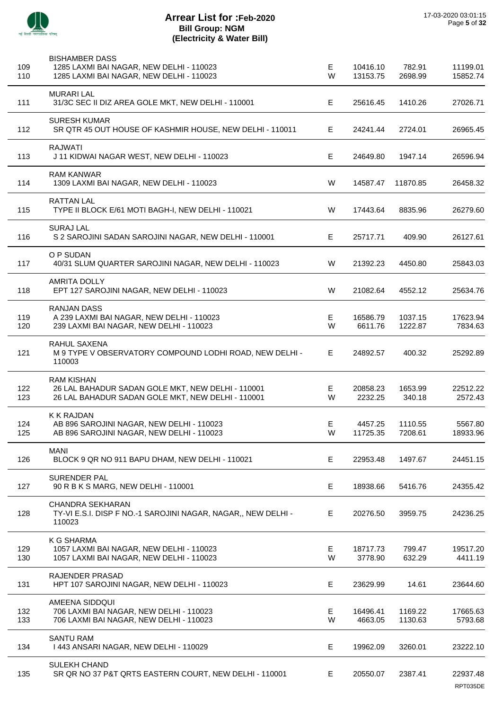

| 109<br>110 | <b>BISHAMBER DASS</b><br>1285 LAXMI BAI NAGAR, NEW DELHI - 110023<br>1285 LAXMI BAI NAGAR, NEW DELHI - 110023               | Е<br>W | 10416.10<br>13153.75 | 782.91<br>2698.99  | 11199.01<br>15852.74 |
|------------|-----------------------------------------------------------------------------------------------------------------------------|--------|----------------------|--------------------|----------------------|
| 111        | <b>MURARI LAL</b><br>31/3C SEC II DIZ AREA GOLE MKT, NEW DELHI - 110001                                                     | E      | 25616.45             | 1410.26            | 27026.71             |
| 112        | <b>SURESH KUMAR</b><br>SR QTR 45 OUT HOUSE OF KASHMIR HOUSE, NEW DELHI - 110011                                             | Е      | 24241.44             | 2724.01            | 26965.45             |
| 113        | <b>RAJWATI</b><br>J 11 KIDWAI NAGAR WEST, NEW DELHI - 110023                                                                | Е      | 24649.80             | 1947.14            | 26596.94             |
| 114        | <b>RAM KANWAR</b><br>1309 LAXMI BAI NAGAR, NEW DELHI - 110023                                                               | W      | 14587.47             | 11870.85           | 26458.32             |
| 115        | <b>RATTAN LAL</b><br>TYPE II BLOCK E/61 MOTI BAGH-I, NEW DELHI - 110021                                                     | W      | 17443.64             | 8835.96            | 26279.60             |
| 116        | <b>SURAJ LAL</b><br>S 2 SAROJINI SADAN SAROJINI NAGAR, NEW DELHI - 110001                                                   | Е      | 25717.71             | 409.90             | 26127.61             |
| 117        | O P SUDAN<br>40/31 SLUM QUARTER SAROJINI NAGAR, NEW DELHI - 110023                                                          | W      | 21392.23             | 4450.80            | 25843.03             |
| 118        | <b>AMRITA DOLLY</b><br>EPT 127 SAROJINI NAGAR, NEW DELHI - 110023                                                           | W      | 21082.64             | 4552.12            | 25634.76             |
| 119<br>120 | <b>RANJAN DASS</b><br>A 239 LAXMI BAI NAGAR, NEW DELHI - 110023<br>239 LAXMI BAI NAGAR, NEW DELHI - 110023                  | Е<br>W | 16586.79<br>6611.76  | 1037.15<br>1222.87 | 17623.94<br>7834.63  |
| 121        | RAHUL SAXENA<br>M 9 TYPE V OBSERVATORY COMPOUND LODHI ROAD, NEW DELHI -<br>110003                                           | E      | 24892.57             | 400.32             | 25292.89             |
| 122<br>123 | <b>RAM KISHAN</b><br>26 LAL BAHADUR SADAN GOLE MKT, NEW DELHI - 110001<br>26 LAL BAHADUR SADAN GOLE MKT, NEW DELHI - 110001 | Е<br>W | 20858.23<br>2232.25  | 1653.99<br>340.18  | 22512.22<br>2572.43  |
| 124<br>125 | K K RAJDAN<br>AB 896 SAROJINI NAGAR, NEW DELHI - 110023<br>AB 896 SAROJINI NAGAR, NEW DELHI - 110023                        | Е<br>W | 4457.25<br>11725.35  | 1110.55<br>7208.61 | 5567.80<br>18933.96  |
| 126        | <b>MANI</b><br>BLOCK 9 QR NO 911 BAPU DHAM, NEW DELHI - 110021                                                              | Е      | 22953.48             | 1497.67            | 24451.15             |
| 127        | SURENDER PAL<br>90 R B K S MARG, NEW DELHI - 110001                                                                         | E      | 18938.66             | 5416.76            | 24355.42             |
| 128        | <b>CHANDRA SEKHARAN</b><br>TY-VI E.S.I. DISP F NO.-1 SAROJINI NAGAR, NAGAR,, NEW DELHI -<br>110023                          | Е      | 20276.50             | 3959.75            | 24236.25             |
| 129<br>130 | K G SHARMA<br>1057 LAXMI BAI NAGAR, NEW DELHI - 110023<br>1057 LAXMI BAI NAGAR, NEW DELHI - 110023                          | Е<br>W | 18717.73<br>3778.90  | 799.47<br>632.29   | 19517.20<br>4411.19  |
| 131        | RAJENDER PRASAD<br>HPT 107 SAROJINI NAGAR, NEW DELHI - 110023                                                               | Е      | 23629.99             | 14.61              | 23644.60             |
| 132<br>133 | AMEENA SIDDQUI<br>706 LAXMI BAI NAGAR, NEW DELHI - 110023<br>706 LAXMI BAI NAGAR, NEW DELHI - 110023                        | Е<br>W | 16496.41<br>4663.05  | 1169.22<br>1130.63 | 17665.63<br>5793.68  |
| 134        | <b>SANTU RAM</b><br>1443 ANSARI NAGAR, NEW DELHI - 110029                                                                   | Е      | 19962.09             | 3260.01            | 23222.10             |
| 135        | <b>SULEKH CHAND</b><br>SR QR NO 37 P&T QRTS EASTERN COURT, NEW DELHI - 110001                                               | Е      | 20550.07             | 2387.41            | 22937.48<br>RPT035DE |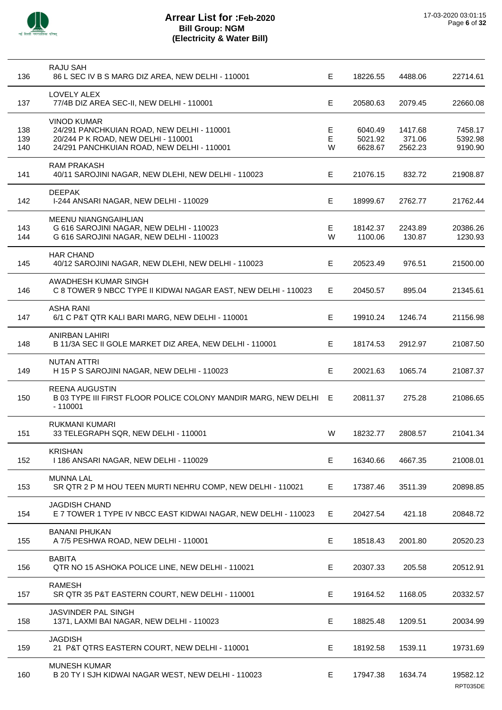

| 136               | RAJU SAH<br>86 L SEC IV B S MARG DIZ AREA, NEW DELHI - 110001                                                                                         | E           | 18226.55                      | 4488.06                      | 22714.61                      |
|-------------------|-------------------------------------------------------------------------------------------------------------------------------------------------------|-------------|-------------------------------|------------------------------|-------------------------------|
| 137               | LOVELY ALEX<br>77/4B DIZ AREA SEC-II, NEW DELHI - 110001                                                                                              | Е           | 20580.63                      | 2079.45                      | 22660.08                      |
| 138<br>139<br>140 | <b>VINOD KUMAR</b><br>24/291 PANCHKUIAN ROAD, NEW DELHI - 110001<br>20/244 P K ROAD, NEW DELHI - 110001<br>24/291 PANCHKUIAN ROAD, NEW DELHI - 110001 | Е<br>E<br>W | 6040.49<br>5021.92<br>6628.67 | 1417.68<br>371.06<br>2562.23 | 7458.17<br>5392.98<br>9190.90 |
| 141               | <b>RAM PRAKASH</b><br>40/11 SAROJINI NAGAR, NEW DLEHI, NEW DELHI - 110023                                                                             | Е           | 21076.15                      | 832.72                       | 21908.87                      |
| 142               | <b>DEEPAK</b><br>I-244 ANSARI NAGAR, NEW DELHI - 110029                                                                                               | Е           | 18999.67                      | 2762.77                      | 21762.44                      |
| 143<br>144        | <b>MEENU NIANGNGAIHLIAN</b><br>G 616 SAROJINI NAGAR, NEW DELHI - 110023<br>G 616 SAROJINI NAGAR, NEW DELHI - 110023                                   | E<br>W      | 18142.37<br>1100.06           | 2243.89<br>130.87            | 20386.26<br>1230.93           |
| 145               | <b>HAR CHAND</b><br>40/12 SAROJINI NAGAR, NEW DLEHI, NEW DELHI - 110023                                                                               | E           | 20523.49                      | 976.51                       | 21500.00                      |
| 146               | AWADHESH KUMAR SINGH<br>C 8 TOWER 9 NBCC TYPE II KIDWAI NAGAR EAST, NEW DELHI - 110023                                                                | E           | 20450.57                      | 895.04                       | 21345.61                      |
| 147               | <b>ASHA RANI</b><br>6/1 C P&T QTR KALI BARI MARG, NEW DELHI - 110001                                                                                  | E           | 19910.24                      | 1246.74                      | 21156.98                      |
| 148               | <b>ANIRBAN LAHIRI</b><br>B 11/3A SEC II GOLE MARKET DIZ AREA, NEW DELHI - 110001                                                                      | E           | 18174.53                      | 2912.97                      | 21087.50                      |
| 149               | <b>NUTAN ATTRI</b><br>H 15 P S SAROJINI NAGAR, NEW DELHI - 110023                                                                                     | Е           | 20021.63                      | 1065.74                      | 21087.37                      |
| 150               | <b>REENA AUGUSTIN</b><br>B 03 TYPE III FIRST FLOOR POLICE COLONY MANDIR MARG, NEW DELHI E<br>$-110001$                                                |             | 20811.37                      | 275.28                       | 21086.65                      |
| 151               | <b>RUKMANI KUMARI</b><br>33 TELEGRAPH SQR, NEW DELHI - 110001                                                                                         | W           | 18232.77                      | 2808.57                      | 21041.34                      |
| 152               | <b>KRISHAN</b><br>I 186 ANSARI NAGAR, NEW DELHI - 110029                                                                                              | E           | 16340.66                      | 4667.35                      | 21008.01                      |
| 153               | <b>MUNNA LAL</b><br>SR QTR 2 P M HOU TEEN MURTI NEHRU COMP, NEW DELHI - 110021                                                                        | Е           | 17387.46                      | 3511.39                      | 20898.85                      |
| 154               | <b>JAGDISH CHAND</b><br>E 7 TOWER 1 TYPE IV NBCC EAST KIDWAI NAGAR, NEW DELHI - 110023                                                                | E           | 20427.54                      | 421.18                       | 20848.72                      |
| 155               | <b>BANANI PHUKAN</b><br>A 7/5 PESHWA ROAD, NEW DELHI - 110001                                                                                         | Е           | 18518.43                      | 2001.80                      | 20520.23                      |
| 156               | <b>BABITA</b><br>QTR NO 15 ASHOKA POLICE LINE, NEW DELHI - 110021                                                                                     | Е           | 20307.33                      | 205.58                       | 20512.91                      |
| 157               | <b>RAMESH</b><br>SR QTR 35 P&T EASTERN COURT, NEW DELHI - 110001                                                                                      | Е           | 19164.52                      | 1168.05                      | 20332.57                      |
| 158               | <b>JASVINDER PAL SINGH</b><br>1371, LAXMI BAI NAGAR, NEW DELHI - 110023                                                                               | Е           | 18825.48                      | 1209.51                      | 20034.99                      |
| 159               | <b>JAGDISH</b><br>21 P&T QTRS EASTERN COURT, NEW DELHI - 110001                                                                                       | E           | 18192.58                      | 1539.11                      | 19731.69                      |
| 160               | <b>MUNESH KUMAR</b><br>B 20 TY I SJH KIDWAI NAGAR WEST, NEW DELHI - 110023                                                                            | Е           | 17947.38                      | 1634.74                      | 19582.12<br>RPT035DE          |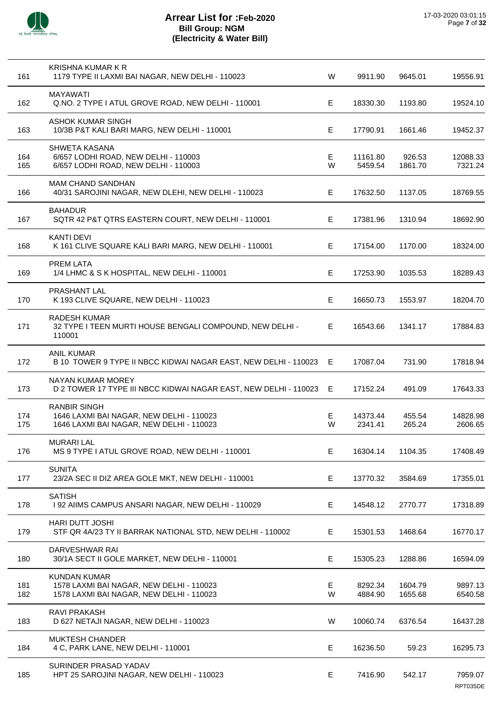

| 161        | KRISHNA KUMAR K R<br>1179 TYPE II LAXMI BAI NAGAR, NEW DELHI - 110023                                       | W      | 9911.90             | 9645.01            | 19556.91            |
|------------|-------------------------------------------------------------------------------------------------------------|--------|---------------------|--------------------|---------------------|
| 162        | <b>MAYAWATI</b><br>Q.NO. 2 TYPE I ATUL GROVE ROAD, NEW DELHI - 110001                                       | E      | 18330.30            | 1193.80            | 19524.10            |
| 163        | ASHOK KUMAR SINGH<br>10/3B P&T KALI BARI MARG, NEW DELHI - 110001                                           | E      | 17790.91            | 1661.46            | 19452.37            |
| 164<br>165 | SHWETA KASANA<br>6/657 LODHI ROAD, NEW DELHI - 110003<br>6/657 LODHI ROAD, NEW DELHI - 110003               | Е<br>W | 11161.80<br>5459.54 | 926.53<br>1861.70  | 12088.33<br>7321.24 |
| 166        | <b>MAM CHAND SANDHAN</b><br>40/31 SAROJINI NAGAR, NEW DLEHI, NEW DELHI - 110023                             | Е      | 17632.50            | 1137.05            | 18769.55            |
| 167        | <b>BAHADUR</b><br>SQTR 42 P&T QTRS EASTERN COURT, NEW DELHI - 110001                                        | E      | 17381.96            | 1310.94            | 18692.90            |
| 168        | <b>KANTI DEVI</b><br>K 161 CLIVE SQUARE KALI BARI MARG, NEW DELHI - 110001                                  | E.     | 17154.00            | 1170.00            | 18324.00            |
| 169        | <b>PREM LATA</b><br>1/4 LHMC & S K HOSPITAL, NEW DELHI - 110001                                             | Е      | 17253.90            | 1035.53            | 18289.43            |
| 170        | PRASHANT LAL<br>K 193 CLIVE SQUARE, NEW DELHI - 110023                                                      | E      | 16650.73            | 1553.97            | 18204.70            |
| 171        | <b>RADESH KUMAR</b><br>32 TYPE I TEEN MURTI HOUSE BENGALI COMPOUND, NEW DELHI -<br>110001                   | E      | 16543.66            | 1341.17            | 17884.83            |
| 172        | <b>ANIL KUMAR</b><br>B 10 TOWER 9 TYPE II NBCC KIDWAI NAGAR EAST, NEW DELHI - 110023 E                      |        | 17087.04            | 731.90             | 17818.94            |
| 173        | NAYAN KUMAR MOREY<br>D 2 TOWER 17 TYPE III NBCC KIDWAI NAGAR EAST, NEW DELHI - 110023 E                     |        | 17152.24            | 491.09             | 17643.33            |
| 174<br>175 | <b>RANBIR SINGH</b><br>1646 LAXMI BAI NAGAR, NEW DELHI - 110023<br>1646 LAXMI BAI NAGAR, NEW DELHI - 110023 | E<br>W | 14373.44<br>2341.41 | 455.54<br>265.24   | 14828.98<br>2606.65 |
| 176        | <b>MURARI LAL</b><br>MS 9 TYPE I ATUL GROVE ROAD, NEW DELHI - 110001                                        | E      | 16304.14            | 1104.35            | 17408.49            |
| 177        | <b>SUNITA</b><br>23/2A SEC II DIZ AREA GOLE MKT, NEW DELHI - 110001                                         | Е      | 13770.32            | 3584.69            | 17355.01            |
| 178        | <b>SATISH</b><br>I 92 AIIMS CAMPUS ANSARI NAGAR, NEW DELHI - 110029                                         | E      | 14548.12            | 2770.77            | 17318.89            |
| 179        | HARI DUTT JOSHI<br>STF QR 4A/23 TY II BARRAK NATIONAL STD, NEW DELHI - 110002                               | E.     | 15301.53            | 1468.64            | 16770.17            |
| 180        | DARVESHWAR RAI<br>30/1A SECT II GOLE MARKET, NEW DELHI - 110001                                             | Е      | 15305.23            | 1288.86            | 16594.09            |
| 181<br>182 | <b>KUNDAN KUMAR</b><br>1578 LAXMI BAI NAGAR, NEW DELHI - 110023<br>1578 LAXMI BAI NAGAR, NEW DELHI - 110023 | Е<br>W | 8292.34<br>4884.90  | 1604.79<br>1655.68 | 9897.13<br>6540.58  |
| 183        | RAVI PRAKASH<br>D 627 NETAJI NAGAR, NEW DELHI - 110023                                                      | W      | 10060.74            | 6376.54            | 16437.28            |
| 184        | <b>MUKTESH CHANDER</b><br>4 C, PARK LANE, NEW DELHI - 110001                                                | E      | 16236.50            | 59.23              | 16295.73            |
| 185        | SURINDER PRASAD YADAV<br>HPT 25 SAROJINI NAGAR, NEW DELHI - 110023                                          | E      | 7416.90             | 542.17             | 7959.07<br>RPT035DE |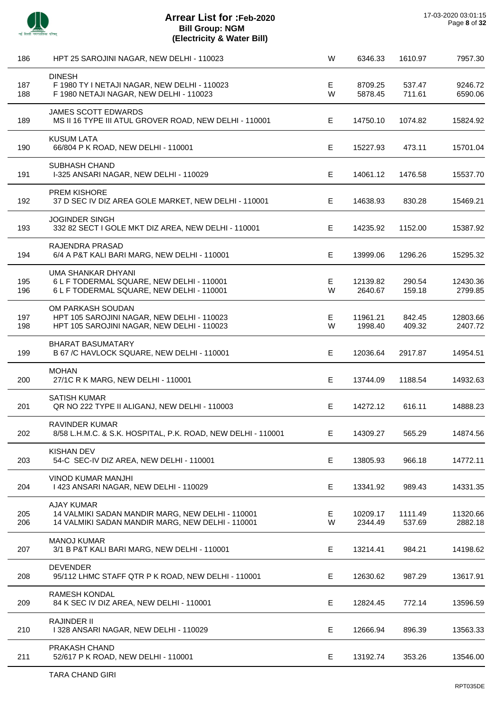

TARA CHAND GIRI

| 186        | HPT 25 SAROJINI NAGAR, NEW DELHI - 110023                                                                                 | W      | 6346.33             | 1610.97           | 7957.30             |
|------------|---------------------------------------------------------------------------------------------------------------------------|--------|---------------------|-------------------|---------------------|
| 187<br>188 | <b>DINESH</b><br>F 1980 TY I NETAJI NAGAR, NEW DELHI - 110023<br>F 1980 NETAJI NAGAR, NEW DELHI - 110023                  | E<br>W | 8709.25<br>5878.45  | 537.47<br>711.61  | 9246.72<br>6590.06  |
| 189        | <b>JAMES SCOTT EDWARDS</b><br>MS II 16 TYPE III ATUL GROVER ROAD, NEW DELHI - 110001                                      | E      | 14750.10            | 1074.82           | 15824.92            |
| 190        | <b>KUSUM LATA</b><br>66/804 P K ROAD, NEW DELHI - 110001                                                                  | E      | 15227.93            | 473.11            | 15701.04            |
| 191        | SUBHASH CHAND<br>I-325 ANSARI NAGAR, NEW DELHI - 110029                                                                   | Е      | 14061.12            | 1476.58           | 15537.70            |
| 192        | PREM KISHORE<br>37 D SEC IV DIZ AREA GOLE MARKET, NEW DELHI - 110001                                                      | Е      | 14638.93            | 830.28            | 15469.21            |
| 193        | <b>JOGINDER SINGH</b><br>332 82 SECT I GOLE MKT DIZ AREA, NEW DELHI - 110001                                              | E      | 14235.92            | 1152.00           | 15387.92            |
| 194        | RAJENDRA PRASAD<br>6/4 A P&T KALI BARI MARG, NEW DELHI - 110001                                                           | E      | 13999.06            | 1296.26           | 15295.32            |
| 195<br>196 | UMA SHANKAR DHYANI<br>6 L F TODERMAL SQUARE, NEW DELHI - 110001<br>6 L F TODERMAL SQUARE, NEW DELHI - 110001              | Е<br>W | 12139.82<br>2640.67 | 290.54<br>159.18  | 12430.36<br>2799.85 |
| 197<br>198 | OM PARKASH SOUDAN<br>HPT 105 SAROJINI NAGAR, NEW DELHI - 110023<br>HPT 105 SAROJINI NAGAR, NEW DELHI - 110023             | Е<br>W | 11961.21<br>1998.40 | 842.45<br>409.32  | 12803.66<br>2407.72 |
| 199        | <b>BHARAT BASUMATARY</b><br>B 67 /C HAVLOCK SQUARE, NEW DELHI - 110001                                                    | Е      | 12036.64            | 2917.87           | 14954.51            |
| 200        | <b>MOHAN</b><br>27/1C R K MARG, NEW DELHI - 110001                                                                        | E      | 13744.09            | 1188.54           | 14932.63            |
| 201        | <b>SATISH KUMAR</b><br>QR NO 222 TYPE II ALIGANJ, NEW DELHI - 110003                                                      | E      | 14272.12            | 616.11            | 14888.23            |
| 202        | RAVINDER KUMAR<br>8/58 L.H.M.C. & S.K. HOSPITAL, P.K. ROAD, NEW DELHI - 110001                                            | Е      | 14309.27            | 565.29            | 14874.56            |
| 203        | <b>KISHAN DEV</b><br>54-C SEC-IV DIZ AREA, NEW DELHI - 110001                                                             | Е      | 13805.93            | 966.18            | 14772.11            |
| 204        | <b>VINOD KUMAR MANJHI</b><br>1423 ANSARI NAGAR, NEW DELHI - 110029                                                        | Е      | 13341.92            | 989.43            | 14331.35            |
| 205<br>206 | <b>AJAY KUMAR</b><br>14 VALMIKI SADAN MANDIR MARG, NEW DELHI - 110001<br>14 VALMIKI SADAN MANDIR MARG, NEW DELHI - 110001 | Е<br>W | 10209.17<br>2344.49 | 1111.49<br>537.69 | 11320.66<br>2882.18 |
| 207        | <b>MANOJ KUMAR</b><br>3/1 B P&T KALI BARI MARG, NEW DELHI - 110001                                                        | E      | 13214.41            | 984.21            | 14198.62            |
| 208        | <b>DEVENDER</b><br>95/112 LHMC STAFF QTR P K ROAD, NEW DELHI - 110001                                                     | Е      | 12630.62            | 987.29            | 13617.91            |
| 209        | <b>RAMESH KONDAL</b><br>84 K SEC IV DIZ AREA, NEW DELHI - 110001                                                          | E      | 12824.45            | 772.14            | 13596.59            |
| 210        | <b>RAJINDER II</b><br>I 328 ANSARI NAGAR, NEW DELHI - 110029                                                              | Е      | 12666.94            | 896.39            | 13563.33            |
| 211        | PRAKASH CHAND<br>52/617 P K ROAD, NEW DELHI - 110001                                                                      | Е      | 13192.74            | 353.26            | 13546.00            |
|            |                                                                                                                           |        |                     |                   |                     |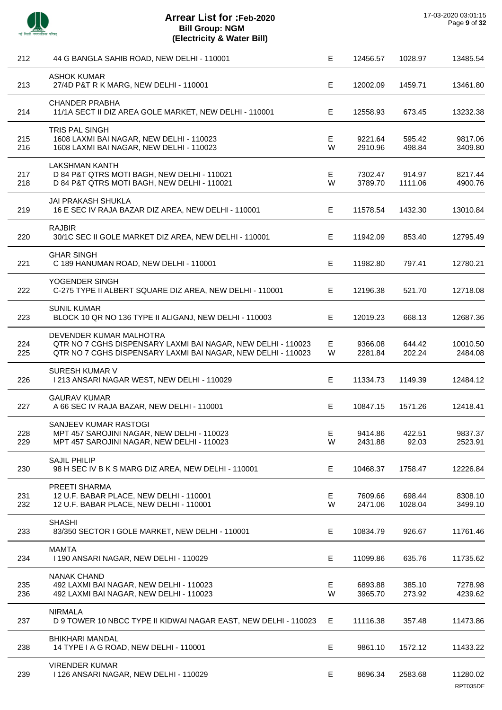

| 212        | 44 G BANGLA SAHIB ROAD, NEW DELHI - 110001                                                                                                              | Е       | 12456.57           | 1028.97           | 13485.54             |
|------------|---------------------------------------------------------------------------------------------------------------------------------------------------------|---------|--------------------|-------------------|----------------------|
| 213        | <b>ASHOK KUMAR</b><br>27/4D P&T R K MARG, NEW DELHI - 110001                                                                                            | Е       | 12002.09           | 1459.71           | 13461.80             |
| 214        | <b>CHANDER PRABHA</b><br>11/1A SECT II DIZ AREA GOLE MARKET, NEW DELHI - 110001                                                                         | Е       | 12558.93           | 673.45            | 13232.38             |
| 215<br>216 | TRIS PAL SINGH<br>1608 LAXMI BAI NAGAR, NEW DELHI - 110023<br>1608 LAXMI BAI NAGAR, NEW DELHI - 110023                                                  | Е<br>W  | 9221.64<br>2910.96 | 595.42<br>498.84  | 9817.06<br>3409.80   |
| 217<br>218 | <b>LAKSHMAN KANTH</b><br>D 84 P&T QTRS MOTI BAGH, NEW DELHI - 110021<br>D 84 P&T QTRS MOTI BAGH, NEW DELHI - 110021                                     | Е<br>W  | 7302.47<br>3789.70 | 914.97<br>1111.06 | 8217.44<br>4900.76   |
| 219        | <b>JAI PRAKASH SHUKLA</b><br>16 E SEC IV RAJA BAZAR DIZ AREA, NEW DELHI - 110001                                                                        | E       | 11578.54           | 1432.30           | 13010.84             |
| 220        | <b>RAJBIR</b><br>30/1C SEC II GOLE MARKET DIZ AREA, NEW DELHI - 110001                                                                                  | E       | 11942.09           | 853.40            | 12795.49             |
| 221        | <b>GHAR SINGH</b><br>C 189 HANUMAN ROAD, NEW DELHI - 110001                                                                                             | E       | 11982.80           | 797.41            | 12780.21             |
| 222        | YOGENDER SINGH<br>C-275 TYPE II ALBERT SQUARE DIZ AREA, NEW DELHI - 110001                                                                              | E       | 12196.38           | 521.70            | 12718.08             |
| 223        | <b>SUNIL KUMAR</b><br>BLOCK 10 QR NO 136 TYPE II ALIGANJ, NEW DELHI - 110003                                                                            | Е       | 12019.23           | 668.13            | 12687.36             |
| 224<br>225 | DEVENDER KUMAR MALHOTRA<br>QTR NO 7 CGHS DISPENSARY LAXMI BAI NAGAR, NEW DELHI - 110023<br>QTR NO 7 CGHS DISPENSARY LAXMI BAI NAGAR, NEW DELHI - 110023 | Е<br>W  | 9366.08<br>2281.84 | 644.42<br>202.24  | 10010.50<br>2484.08  |
| 226        | <b>SURESH KUMAR V</b><br>I 213 ANSARI NAGAR WEST, NEW DELHI - 110029                                                                                    | Е       | 11334.73           | 1149.39           | 12484.12             |
| 227        | <b>GAURAV KUMAR</b><br>A 66 SEC IV RAJA BAZAR, NEW DELHI - 110001                                                                                       | E       | 10847.15           | 1571.26           | 12418.41             |
| 228<br>229 | SANJEEV KUMAR RASTOGI<br>MPT 457 SAROJINI NAGAR, NEW DELHI - 110023<br>MPT 457 SAROJINI NAGAR, NEW DELHI - 110023                                       | E.<br>W | 9414.86<br>2431.88 | 422.51<br>92.03   | 9837.37<br>2523.91   |
| 230        | <b>SAJIL PHILIP</b><br>98 H SEC IV B K S MARG DIZ AREA, NEW DELHI - 110001                                                                              | Е       | 10468.37           | 1758.47           | 12226.84             |
| 231<br>232 | PREETI SHARMA<br>12 U.F. BABAR PLACE, NEW DELHI - 110001<br>12 U.F. BABAR PLACE, NEW DELHI - 110001                                                     | Е<br>W  | 7609.66<br>2471.06 | 698.44<br>1028.04 | 8308.10<br>3499.10   |
| 233        | <b>SHASHI</b><br>83/350 SECTOR I GOLE MARKET, NEW DELHI - 110001                                                                                        | Е       | 10834.79           | 926.67            | 11761.46             |
| 234        | <b>MAMTA</b><br>1190 ANSARI NAGAR, NEW DELHI - 110029                                                                                                   | Е       | 11099.86           | 635.76            | 11735.62             |
| 235<br>236 | NANAK CHAND<br>492 LAXMI BAI NAGAR, NEW DELHI - 110023<br>492 LAXMI BAI NAGAR, NEW DELHI - 110023                                                       | E<br>W  | 6893.88<br>3965.70 | 385.10<br>273.92  | 7278.98<br>4239.62   |
| 237        | <b>NIRMALA</b><br>D 9 TOWER 10 NBCC TYPE II KIDWAI NAGAR EAST, NEW DELHI - 110023                                                                       | Е       | 11116.38           | 357.48            | 11473.86             |
| 238        | <b>BHIKHARI MANDAL</b><br>14 TYPE I A G ROAD, NEW DELHI - 110001                                                                                        | Е       | 9861.10            | 1572.12           | 11433.22             |
| 239        | <b>VIRENDER KUMAR</b><br>1126 ANSARI NAGAR, NEW DELHI - 110029                                                                                          | Е       | 8696.34            | 2583.68           | 11280.02<br>RPT035DE |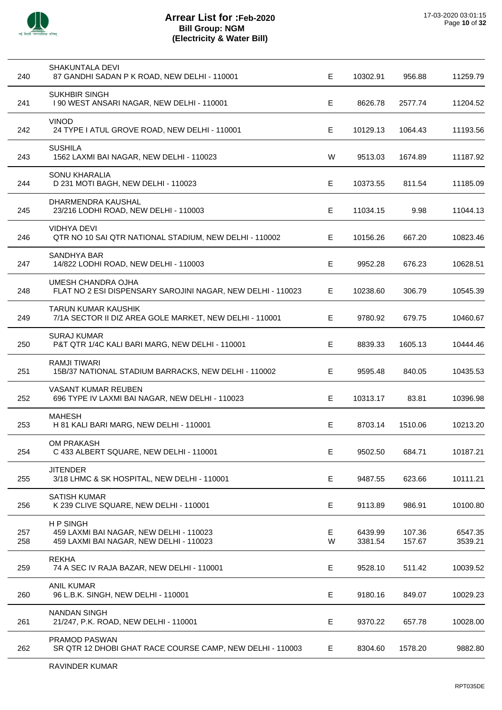

| 240        | <b>SHAKUNTALA DEVI</b><br>87 GANDHI SADAN P K ROAD, NEW DELHI - 110001                                | E      | 10302.91           | 956.88           | 11259.79           |
|------------|-------------------------------------------------------------------------------------------------------|--------|--------------------|------------------|--------------------|
| 241        | <b>SUKHBIR SINGH</b><br>I 90 WEST ANSARI NAGAR, NEW DELHI - 110001                                    | E      | 8626.78            | 2577.74          | 11204.52           |
| 242        | <b>VINOD</b><br>24 TYPE I ATUL GROVE ROAD, NEW DELHI - 110001                                         | E      | 10129.13           | 1064.43          | 11193.56           |
| 243        | <b>SUSHILA</b><br>1562 LAXMI BAI NAGAR, NEW DELHI - 110023                                            | W      | 9513.03            | 1674.89          | 11187.92           |
| 244        | SONU KHARALIA<br>D 231 MOTI BAGH, NEW DELHI - 110023                                                  | E      | 10373.55           | 811.54           | 11185.09           |
| 245        | DHARMENDRA KAUSHAL<br>23/216 LODHI ROAD, NEW DELHI - 110003                                           | E.     | 11034.15           | 9.98             | 11044.13           |
| 246        | <b>VIDHYA DEVI</b><br>QTR NO 10 SAI QTR NATIONAL STADIUM, NEW DELHI - 110002                          | Е      | 10156.26           | 667.20           | 10823.46           |
| 247        | <b>SANDHYA BAR</b><br>14/822 LODHI ROAD, NEW DELHI - 110003                                           | Е      | 9952.28            | 676.23           | 10628.51           |
| 248        | UMESH CHANDRA OJHA<br>FLAT NO 2 ESI DISPENSARY SAROJINI NAGAR, NEW DELHI - 110023                     | E      | 10238.60           | 306.79           | 10545.39           |
| 249        | <b>TARUN KUMAR KAUSHIK</b><br>7/1A SECTOR II DIZ AREA GOLE MARKET, NEW DELHI - 110001                 | E      | 9780.92            | 679.75           | 10460.67           |
| 250        | <b>SURAJ KUMAR</b><br>P&T QTR 1/4C KALI BARI MARG, NEW DELHI - 110001                                 | E      | 8839.33            | 1605.13          | 10444.46           |
| 251        | <b>RAMJI TIWARI</b><br>15B/37 NATIONAL STADIUM BARRACKS, NEW DELHI - 110002                           | Е      | 9595.48            | 840.05           | 10435.53           |
| 252        | VASANT KUMAR REUBEN<br>696 TYPE IV LAXMI BAI NAGAR, NEW DELHI - 110023                                | E      | 10313.17           | 83.81            | 10396.98           |
| 253        | <b>MAHESH</b><br>H 81 KALI BARI MARG, NEW DELHI - 110001                                              | E      | 8703.14            | 1510.06          | 10213.20           |
| 254        | OM PRAKASH<br>C 433 ALBERT SQUARE, NEW DELHI - 110001                                                 | E      | 9502.50            | 684.71           | 10187.21           |
| 255        | <b>JITENDER</b><br>3/18 LHMC & SK HOSPITAL, NEW DELHI - 110001                                        | Е      | 9487.55            | 623.66           | 10111.21           |
| 256        | <b>SATISH KUMAR</b><br>K 239 CLIVE SQUARE, NEW DELHI - 110001                                         | Е      | 9113.89            | 986.91           | 10100.80           |
| 257<br>258 | <b>HP SINGH</b><br>459 LAXMI BAI NAGAR, NEW DELHI - 110023<br>459 LAXMI BAI NAGAR, NEW DELHI - 110023 | E<br>W | 6439.99<br>3381.54 | 107.36<br>157.67 | 6547.35<br>3539.21 |
| 259        | <b>REKHA</b><br>74 A SEC IV RAJA BAZAR, NEW DELHI - 110001                                            | E      | 9528.10            | 511.42           | 10039.52           |
| 260        | <b>ANIL KUMAR</b><br>96 L.B.K. SINGH, NEW DELHI - 110001                                              | Е      | 9180.16            | 849.07           | 10029.23           |
| 261        | <b>NANDAN SINGH</b><br>21/247, P.K. ROAD, NEW DELHI - 110001                                          | Е      | 9370.22            | 657.78           | 10028.00           |
| 262        | PRAMOD PASWAN<br>SR QTR 12 DHOBI GHAT RACE COURSE CAMP, NEW DELHI - 110003                            | Е      | 8304.60            | 1578.20          | 9882.80            |
|            |                                                                                                       |        |                    |                  |                    |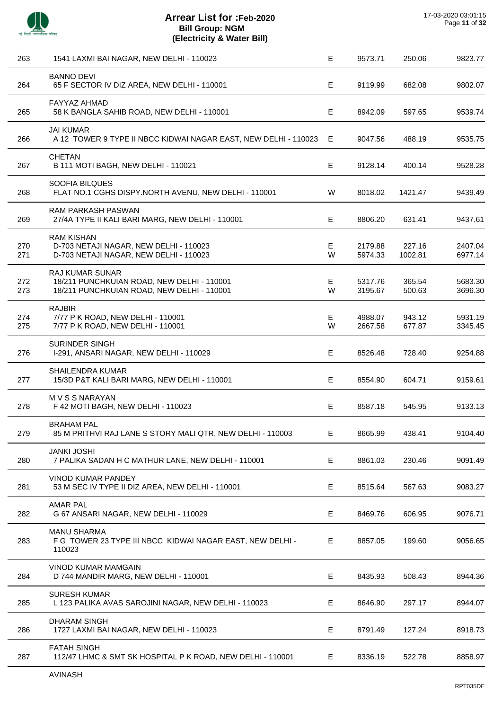

| 263        | 1541 LAXMI BAI NAGAR, NEW DELHI - 110023                                                                           | E      | 9573.71            | 250.06            | 9823.77            |
|------------|--------------------------------------------------------------------------------------------------------------------|--------|--------------------|-------------------|--------------------|
| 264        | <b>BANNO DEVI</b><br>65 F SECTOR IV DIZ AREA, NEW DELHI - 110001                                                   | E      | 9119.99            | 682.08            | 9802.07            |
| 265        | FAYYAZ AHMAD<br>58 K BANGLA SAHIB ROAD, NEW DELHI - 110001                                                         | E      | 8942.09            | 597.65            | 9539.74            |
| 266        | <b>JAI KUMAR</b><br>A 12 TOWER 9 TYPE II NBCC KIDWAI NAGAR EAST, NEW DELHI - 110023                                | E      | 9047.56            | 488.19            | 9535.75            |
| 267        | <b>CHETAN</b><br>B 111 MOTI BAGH, NEW DELHI - 110021                                                               | Е      | 9128.14            | 400.14            | 9528.28            |
| 268        | SOOFIA BILQUES<br>FLAT NO.1 CGHS DISPY.NORTH AVENU, NEW DELHI - 110001                                             | W      | 8018.02            | 1421.47           | 9439.49            |
| 269        | <b>RAM PARKASH PASWAN</b><br>27/4A TYPE II KALI BARI MARG, NEW DELHI - 110001                                      | Е      | 8806.20            | 631.41            | 9437.61            |
| 270<br>271 | <b>RAM KISHAN</b><br>D-703 NETAJI NAGAR, NEW DELHI - 110023<br>D-703 NETAJI NAGAR, NEW DELHI - 110023              | Е<br>W | 2179.88<br>5974.33 | 227.16<br>1002.81 | 2407.04<br>6977.14 |
| 272<br>273 | <b>RAJ KUMAR SUNAR</b><br>18/211 PUNCHKUIAN ROAD, NEW DELHI - 110001<br>18/211 PUNCHKUIAN ROAD, NEW DELHI - 110001 | Е<br>W | 5317.76<br>3195.67 | 365.54<br>500.63  | 5683.30<br>3696.30 |
| 274<br>275 | <b>RAJBIR</b><br>7/77 P K ROAD, NEW DELHI - 110001<br>7/77 P K ROAD, NEW DELHI - 110001                            | Е<br>W | 4988.07<br>2667.58 | 943.12<br>677.87  | 5931.19<br>3345.45 |
| 276        | <b>SURINDER SINGH</b><br>I-291, ANSARI NAGAR, NEW DELHI - 110029                                                   | Е      | 8526.48            | 728.40            | 9254.88            |
| 277        | SHAILENDRA KUMAR<br>15/3D P&T KALI BARI MARG, NEW DELHI - 110001                                                   | E      | 8554.90            | 604.71            | 9159.61            |
| 278        | M V S S NARAYAN<br>F 42 MOTI BAGH, NEW DELHI - 110023                                                              | Е      | 8587.18            | 545.95            | 9133.13            |
| 279        | <b>BRAHAM PAL</b><br>85 M PRITHVI RAJ LANE S STORY MALI QTR, NEW DELHI - 110003                                    | Е      | 8665.99            | 438.41            | 9104.40            |
| 280        | <b>JANKI JOSHI</b><br>7 PALIKA SADAN H C MATHUR LANE, NEW DELHI - 110001                                           | E      | 8861.03            | 230.46            | 9091.49            |
| 281        | VINOD KUMAR PANDEY<br>53 M SEC IV TYPE II DIZ AREA, NEW DELHI - 110001                                             | Е      | 8515.64            | 567.63            | 9083.27            |
| 282        | <b>AMAR PAL</b><br>G 67 ANSARI NAGAR, NEW DELHI - 110029                                                           | E.     | 8469.76            | 606.95            | 9076.71            |
| 283        | <b>MANU SHARMA</b><br>F G TOWER 23 TYPE III NBCC KIDWAI NAGAR EAST, NEW DELHI -<br>110023                          | Е      | 8857.05            | 199.60            | 9056.65            |
| 284        | VINOD KUMAR MAMGAIN<br>D 744 MANDIR MARG, NEW DELHI - 110001                                                       | Е      | 8435.93            | 508.43            | 8944.36            |
| 285        | <b>SURESH KUMAR</b><br>L 123 PALIKA AVAS SAROJINI NAGAR, NEW DELHI - 110023                                        | E.     | 8646.90            | 297.17            | 8944.07            |
| 286        | <b>DHARAM SINGH</b><br>1727 LAXMI BAI NAGAR, NEW DELHI - 110023                                                    | E      | 8791.49            | 127.24            | 8918.73            |
| 287        | <b>FATAH SINGH</b><br>112/47 LHMC & SMT SK HOSPITAL P K ROAD, NEW DELHI - 110001                                   | E.     | 8336.19            | 522.78            | 8858.97            |
|            |                                                                                                                    |        |                    |                   |                    |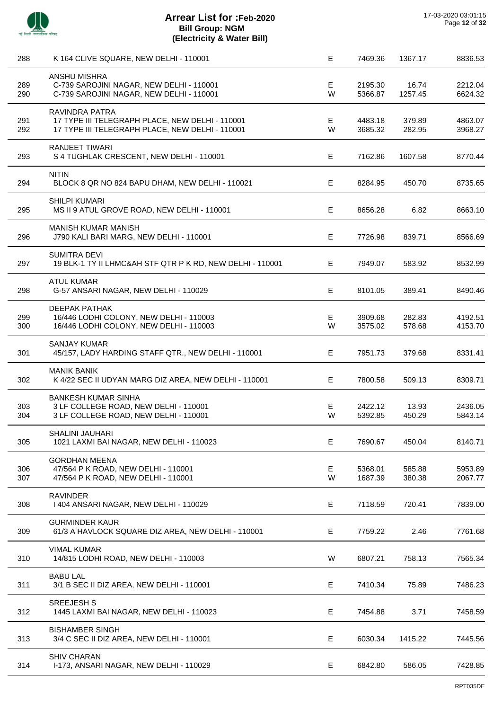

| 288 | K 164 CLIVE SQUARE, NEW DELHI - 110001                    | Е | 7469.36 | 1367.17 | 8836.53 |
|-----|-----------------------------------------------------------|---|---------|---------|---------|
|     | ANSHU MISHRA                                              |   |         |         |         |
| 289 | C-739 SAROJINI NAGAR, NEW DELHI - 110001                  | Е | 2195.30 | 16.74   | 2212.04 |
| 290 | C-739 SAROJINI NAGAR, NEW DELHI - 110001                  | W | 5366.87 | 1257.45 | 6624.32 |
|     | RAVINDRA PATRA                                            |   |         |         |         |
| 291 | 17 TYPE III TELEGRAPH PLACE, NEW DELHI - 110001           | Е | 4483.18 | 379.89  | 4863.07 |
| 292 | 17 TYPE III TELEGRAPH PLACE, NEW DELHI - 110001           | W | 3685.32 | 282.95  | 3968.27 |
|     | RANJEET TIWARI                                            |   |         |         |         |
| 293 | S 4 TUGHLAK CRESCENT, NEW DELHI - 110001                  | Е | 7162.86 | 1607.58 | 8770.44 |
|     | <b>NITIN</b>                                              |   |         |         |         |
| 294 | BLOCK 8 QR NO 824 BAPU DHAM, NEW DELHI - 110021           | Е | 8284.95 | 450.70  | 8735.65 |
|     | <b>SHILPI KUMARI</b>                                      |   |         |         |         |
| 295 | MS II 9 ATUL GROVE ROAD, NEW DELHI - 110001               | Е | 8656.28 | 6.82    | 8663.10 |
|     | <b>MANISH KUMAR MANISH</b>                                |   |         |         |         |
| 296 | J790 KALI BARI MARG, NEW DELHI - 110001                   | Е | 7726.98 | 839.71  | 8566.69 |
|     | <b>SUMITRA DEVI</b>                                       |   |         |         |         |
| 297 | 19 BLK-1 TY II LHMC&AH STF QTR P K RD, NEW DELHI - 110001 | Е | 7949.07 | 583.92  | 8532.99 |
|     | <b>ATUL KUMAR</b>                                         |   |         |         |         |
| 298 | G-57 ANSARI NAGAR, NEW DELHI - 110029                     | E | 8101.05 | 389.41  | 8490.46 |
|     | <b>DEEPAK PATHAK</b>                                      |   |         |         |         |
| 299 | 16/446 LODHI COLONY, NEW DELHI - 110003                   | Е | 3909.68 | 282.83  | 4192.51 |
| 300 | 16/446 LODHI COLONY, NEW DELHI - 110003                   | W | 3575.02 | 578.68  | 4153.70 |
|     | <b>SANJAY KUMAR</b>                                       |   |         |         |         |
| 301 | 45/157, LADY HARDING STAFF QTR., NEW DELHI - 110001       | E | 7951.73 | 379.68  | 8331.41 |
|     | <b>MANIK BANIK</b>                                        |   |         |         |         |
| 302 | K 4/22 SEC II UDYAN MARG DIZ AREA, NEW DELHI - 110001     | E | 7800.58 | 509.13  | 8309.71 |
|     | <b>BANKESH KUMAR SINHA</b>                                |   |         |         |         |
| 303 | 3 LF COLLEGE ROAD, NEW DELHI - 110001                     | Е | 2422.12 | 13.93   | 2436.05 |
| 304 | 3 LF COLLEGE ROAD, NEW DELHI - 110001                     | W | 5392.85 | 450.29  | 5843.14 |
|     | SHALINI JAUHARI                                           |   |         |         |         |
| 305 | 1021 LAXMI BAI NAGAR, NEW DELHI - 110023                  | Е | 7690.67 | 450.04  | 8140.71 |
|     | <b>GORDHAN MEENA</b>                                      |   |         |         |         |
| 306 | 47/564 P K ROAD, NEW DELHI - 110001                       | E | 5368.01 | 585.88  | 5953.89 |
| 307 | 47/564 P K ROAD, NEW DELHI - 110001                       | W | 1687.39 | 380.38  | 2067.77 |
|     | <b>RAVINDER</b>                                           |   |         |         |         |
| 308 | 1404 ANSARI NAGAR, NEW DELHI - 110029                     | Е | 7118.59 | 720.41  | 7839.00 |
|     | <b>GURMINDER KAUR</b>                                     |   |         |         |         |
| 309 | 61/3 A HAVLOCK SQUARE DIZ AREA, NEW DELHI - 110001        | Е | 7759.22 | 2.46    | 7761.68 |
|     | <b>VIMAL KUMAR</b>                                        |   |         |         |         |
| 310 | 14/815 LODHI ROAD, NEW DELHI - 110003                     | W | 6807.21 | 758.13  | 7565.34 |
|     | <b>BABU LAL</b>                                           |   |         |         |         |
| 311 | 3/1 B SEC II DIZ AREA, NEW DELHI - 110001                 | Е | 7410.34 | 75.89   | 7486.23 |
|     | <b>SREEJESH S</b>                                         |   |         |         |         |
| 312 | 1445 LAXMI BAI NAGAR, NEW DELHI - 110023                  | E | 7454.88 | 3.71    | 7458.59 |
|     | <b>BISHAMBER SINGH</b>                                    |   |         |         |         |
| 313 | 3/4 C SEC II DIZ AREA, NEW DELHI - 110001                 | E | 6030.34 | 1415.22 | 7445.56 |
|     | <b>SHIV CHARAN</b>                                        |   |         |         |         |
| 314 | I-173, ANSARI NAGAR, NEW DELHI - 110029                   | Е | 6842.80 | 586.05  | 7428.85 |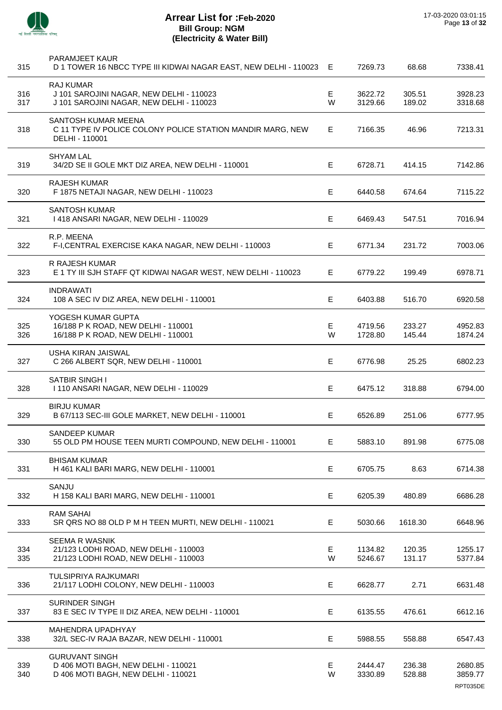

J.

J.

J.

 $\overline{a}$ 

÷.

 $\overline{a}$ 

| 315        | PARAMJEET KAUR<br>D 1 TOWER 16 NBCC TYPE III KIDWAI NAGAR EAST, NEW DELHI - 110023 E                     |         | 7269.73            | 68.68            | 7338.41                        |
|------------|----------------------------------------------------------------------------------------------------------|---------|--------------------|------------------|--------------------------------|
| 316<br>317 | <b>RAJ KUMAR</b><br>J 101 SAROJINI NAGAR, NEW DELHI - 110023<br>J 101 SAROJINI NAGAR, NEW DELHI - 110023 | E<br>W  | 3622.72<br>3129.66 | 305.51<br>189.02 | 3928.23<br>3318.68             |
| 318        | SANTOSH KUMAR MEENA<br>C 11 TYPE IV POLICE COLONY POLICE STATION MANDIR MARG, NEW<br>DELHI - 110001      | E.      | 7166.35            | 46.96            | 7213.31                        |
| 319        | <b>SHYAM LAL</b><br>34/2D SE II GOLE MKT DIZ AREA, NEW DELHI - 110001                                    | E.      | 6728.71            | 414.15           | 7142.86                        |
| 320        | <b>RAJESH KUMAR</b><br>F 1875 NETAJI NAGAR, NEW DELHI - 110023                                           | E       | 6440.58            | 674.64           | 7115.22                        |
| 321        | <b>SANTOSH KUMAR</b><br>I 418 ANSARI NAGAR, NEW DELHI - 110029                                           | E.      | 6469.43            | 547.51           | 7016.94                        |
| 322        | R.P. MEENA<br>F-I, CENTRAL EXERCISE KAKA NAGAR, NEW DELHI - 110003                                       | E.      | 6771.34            | 231.72           | 7003.06                        |
| 323        | <b>R RAJESH KUMAR</b><br>E 1 TY III SJH STAFF QT KIDWAI NAGAR WEST, NEW DELHI - 110023                   | E.      | 6779.22            | 199.49           | 6978.71                        |
| 324        | <b>INDRAWATI</b><br>108 A SEC IV DIZ AREA, NEW DELHI - 110001                                            | E       | 6403.88            | 516.70           | 6920.58                        |
| 325<br>326 | YOGESH KUMAR GUPTA<br>16/188 P K ROAD, NEW DELHI - 110001<br>16/188 P K ROAD, NEW DELHI - 110001         | E.<br>W | 4719.56<br>1728.80 | 233.27<br>145.44 | 4952.83<br>1874.24             |
| 327        | USHA KIRAN JAISWAL<br>C 266 ALBERT SQR, NEW DELHI - 110001                                               | E.      | 6776.98            | 25.25            | 6802.23                        |
| 328        | SATBIR SINGH I<br>1110 ANSARI NAGAR, NEW DELHI - 110029                                                  | E       | 6475.12            | 318.88           | 6794.00                        |
| 329        | <b>BIRJU KUMAR</b><br>B 67/113 SEC-III GOLE MARKET, NEW DELHI - 110001                                   | E.      | 6526.89            | 251.06           | 6777.95                        |
| 330        | SANDEEP KUMAR<br>55 OLD PM HOUSE TEEN MURTI COMPOUND, NEW DELHI - 110001                                 | E.      | 5883.10            | 891.98           | 6775.08                        |
| 331        | <b>BHISAM KUMAR</b><br>H 461 KALI BARI MARG, NEW DELHI - 110001                                          | Е       | 6705.75            | 8.63             | 6714.38                        |
| 332        | SANJU<br>H 158 KALI BARI MARG, NEW DELHI - 110001                                                        | Е       | 6205.39            | 480.89           | 6686.28                        |
| 333        | <b>RAM SAHAI</b><br>SR QRS NO 88 OLD P M H TEEN MURTI, NEW DELHI - 110021                                | E.      | 5030.66            | 1618.30          | 6648.96                        |
| 334<br>335 | <b>SEEMA R WASNIK</b><br>21/123 LODHI ROAD, NEW DELHI - 110003<br>21/123 LODHI ROAD, NEW DELHI - 110003  | E.<br>W | 1134.82<br>5246.67 | 120.35<br>131.17 | 1255.17<br>5377.84             |
| 336        | TULSIPRIYA RAJKUMARI<br>21/117 LODHI COLONY, NEW DELHI - 110003                                          | E.      | 6628.77            | 2.71             | 6631.48                        |
| 337        | <b>SURINDER SINGH</b><br>83 E SEC IV TYPE II DIZ AREA, NEW DELHI - 110001                                | Е       | 6135.55            | 476.61           | 6612.16                        |
| 338        | MAHENDRA UPADHYAY<br>32/L SEC-IV RAJA BAZAR, NEW DELHI - 110001                                          | Е       | 5988.55            | 558.88           | 6547.43                        |
| 339<br>340 | <b>GURUVANT SINGH</b><br>D 406 MOTI BAGH, NEW DELHI - 110021<br>D 406 MOTI BAGH, NEW DELHI - 110021      | Е<br>W  | 2444.47<br>3330.89 | 236.38<br>528.88 | 2680.85<br>3859.77<br>RPT035DE |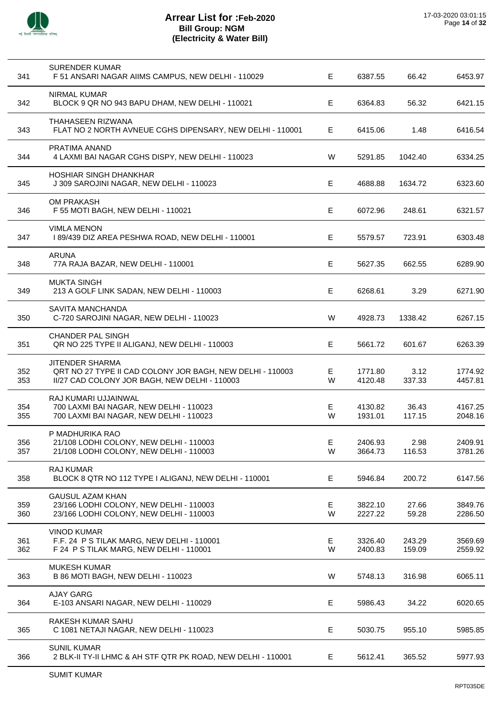

 $\overline{a}$ 

l,

 $\overline{a}$ 

l,

l,

 $\ddot{\phantom{a}}$ 

l,

| 341        | <b>SURENDER KUMAR</b><br>F 51 ANSARI NAGAR AIIMS CAMPUS, NEW DELHI - 110029                                                   | Е       | 6387.55            | 66.42            | 6453.97            |
|------------|-------------------------------------------------------------------------------------------------------------------------------|---------|--------------------|------------------|--------------------|
| 342        | <b>NIRMAL KUMAR</b><br>BLOCK 9 QR NO 943 BAPU DHAM, NEW DELHI - 110021                                                        | E       | 6364.83            | 56.32            | 6421.15            |
| 343        | THAHASEEN RIZWANA<br>FLAT NO 2 NORTH AVNEUE CGHS DIPENSARY, NEW DELHI - 110001                                                | E.      | 6415.06            | 1.48             | 6416.54            |
| 344        | PRATIMA ANAND<br>4 LAXMI BAI NAGAR CGHS DISPY, NEW DELHI - 110023                                                             | W       | 5291.85            | 1042.40          | 6334.25            |
| 345        | <b>HOSHIAR SINGH DHANKHAR</b><br>J 309 SAROJINI NAGAR, NEW DELHI - 110023                                                     | Е       | 4688.88            | 1634.72          | 6323.60            |
| 346        | OM PRAKASH<br>F 55 MOTI BAGH, NEW DELHI - 110021                                                                              | E       | 6072.96            | 248.61           | 6321.57            |
| 347        | <b>VIMLA MENON</b><br>189/439 DIZ AREA PESHWA ROAD, NEW DELHI - 110001                                                        | Е       | 5579.57            | 723.91           | 6303.48            |
| 348        | <b>ARUNA</b><br>77A RAJA BAZAR, NEW DELHI - 110001                                                                            | E       | 5627.35            | 662.55           | 6289.90            |
| 349        | <b>MUKTA SINGH</b><br>213 A GOLF LINK SADAN, NEW DELHI - 110003                                                               | E       | 6268.61            | 3.29             | 6271.90            |
| 350        | SAVITA MANCHANDA<br>C-720 SAROJINI NAGAR, NEW DELHI - 110023                                                                  | W       | 4928.73            | 1338.42          | 6267.15            |
| 351        | <b>CHANDER PAL SINGH</b><br>QR NO 225 TYPE II ALIGANJ, NEW DELHI - 110003                                                     | Е       | 5661.72            | 601.67           | 6263.39            |
| 352<br>353 | JITENDER SHARMA<br>QRT NO 27 TYPE II CAD COLONY JOR BAGH, NEW DELHI - 110003<br>II/27 CAD COLONY JOR BAGH, NEW DELHI - 110003 | Е<br>W  | 1771.80<br>4120.48 | 3.12<br>337.33   | 1774.92<br>4457.81 |
| 354<br>355 | RAJ KUMARI UJJAINWAL<br>700 LAXMI BAI NAGAR, NEW DELHI - 110023<br>700 LAXMI BAI NAGAR, NEW DELHI - 110023                    | Е<br>W  | 4130.82<br>1931.01 | 36.43<br>117.15  | 4167.25<br>2048.16 |
| 356<br>357 | P MADHURIKA RAO<br>21/108 LODHI COLONY, NEW DELHI - 110003<br>21/108 LODHI COLONY, NEW DELHI - 110003                         | E.<br>W | 2406.93<br>3664.73 | 2.98<br>116.53   | 2409.91<br>3781.26 |
| 358        | <b>RAJ KUMAR</b><br>BLOCK 8 QTR NO 112 TYPE I ALIGANJ, NEW DELHI - 110001                                                     | Е       | 5946.84            | 200.72           | 6147.56            |
| 359<br>360 | <b>GAUSUL AZAM KHAN</b><br>23/166 LODHI COLONY, NEW DELHI - 110003<br>23/166 LODHI COLONY, NEW DELHI - 110003                 | Е<br>W  | 3822.10<br>2227.22 | 27.66<br>59.28   | 3849.76<br>2286.50 |
| 361<br>362 | <b>VINOD KUMAR</b><br>F.F. 24 P S TILAK MARG, NEW DELHI - 110001<br>F 24 P S TILAK MARG, NEW DELHI - 110001                   | Е<br>W  | 3326.40<br>2400.83 | 243.29<br>159.09 | 3569.69<br>2559.92 |
| 363        | <b>MUKESH KUMAR</b><br>B 86 MOTI BAGH, NEW DELHI - 110023                                                                     | W       | 5748.13            | 316.98           | 6065.11            |
| 364        | <b>AJAY GARG</b><br>E-103 ANSARI NAGAR, NEW DELHI - 110029                                                                    | Е       | 5986.43            | 34.22            | 6020.65            |
| 365        | RAKESH KUMAR SAHU<br>C 1081 NETAJI NAGAR, NEW DELHI - 110023                                                                  | Е       | 5030.75            | 955.10           | 5985.85            |
| 366        | <b>SUNIL KUMAR</b><br>2 BLK-II TY-II LHMC & AH STF QTR PK ROAD, NEW DELHI - 110001                                            | E       | 5612.41            | 365.52           | 5977.93            |
|            |                                                                                                                               |         |                    |                  |                    |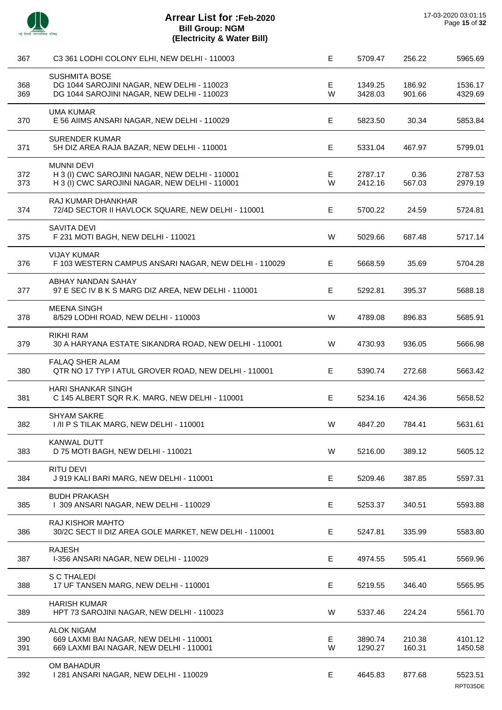

| 367        | C3 361 LODHI COLONY ELHI, NEW DELHI - 110003                                                                          | E       | 5709.47            | 256.22           | 5965.69            |
|------------|-----------------------------------------------------------------------------------------------------------------------|---------|--------------------|------------------|--------------------|
| 368<br>369 | <b>SUSHMITA BOSE</b><br>DG 1044 SAROJINI NAGAR, NEW DELHI - 110023<br>DG 1044 SAROJINI NAGAR, NEW DELHI - 110023      | E<br>W  | 1349.25<br>3428.03 | 186.92<br>901.66 | 1536.17<br>4329.69 |
| 370        | <b>UMA KUMAR</b><br>E 56 AIIMS ANSARI NAGAR, NEW DELHI - 110029                                                       | E       | 5823.50            | 30.34            | 5853.84            |
| 371        | <b>SURENDER KUMAR</b><br>5H DIZ AREA RAJA BAZAR, NEW DELHI - 110001                                                   | E       | 5331.04            | 467.97           | 5799.01            |
| 372<br>373 | <b>MUNNI DEVI</b><br>H 3 (I) CWC SAROJINI NAGAR, NEW DELHI - 110001<br>H 3 (I) CWC SAROJINI NAGAR, NEW DELHI - 110001 | E<br>W  | 2787.17<br>2412.16 | 0.36<br>567.03   | 2787.53<br>2979.19 |
| 374        | RAJ KUMAR DHANKHAR<br>72/4D SECTOR II HAVLOCK SQUARE, NEW DELHI - 110001                                              | E       | 5700.22            | 24.59            | 5724.81            |
| 375        | <b>SAVITA DEVI</b><br>F 231 MOTI BAGH, NEW DELHI - 110021                                                             | W       | 5029.66            | 687.48           | 5717.14            |
| 376        | <b>VIJAY KUMAR</b><br>F 103 WESTERN CAMPUS ANSARI NAGAR, NEW DELHI - 110029                                           | Е       | 5668.59            | 35.69            | 5704.28            |
| 377        | ABHAY NANDAN SAHAY<br>97 E SEC IV B K S MARG DIZ AREA, NEW DELHI - 110001                                             | E       | 5292.81            | 395.37           | 5688.18            |
| 378        | <b>MEENA SINGH</b><br>8/529 LODHI ROAD, NEW DELHI - 110003                                                            | W       | 4789.08            | 896.83           | 5685.91            |
| 379        | <b>RIKHI RAM</b><br>30 A HARYANA ESTATE SIKANDRA ROAD, NEW DELHI - 110001                                             | W       | 4730.93            | 936.05           | 5666.98            |
| 380        | <b>FALAQ SHER ALAM</b><br>QTR NO 17 TYP I ATUL GROVER ROAD, NEW DELHI - 110001                                        | E.      | 5390.74            | 272.68           | 5663.42            |
| 381        | <b>HARI SHANKAR SINGH</b><br>C 145 ALBERT SQR R.K. MARG, NEW DELHI - 110001                                           | E       | 5234.16            | 424.36           | 5658.52            |
| 382        | <b>SHYAM SAKRE</b><br>I /II P S TILAK MARG, NEW DELHI - 110001                                                        | W       | 4847.20            | 784.41           | 5631.61            |
| 383        | <b>KANWAL DUTT</b><br>D 75 MOTI BAGH, NEW DELHI - 110021                                                              | W       | 5216.00            | 389.12           | 5605.12            |
| 384        | <b>RITU DEVI</b><br>J 919 KALI BARI MARG, NEW DELHI - 110001                                                          | Е       | 5209.46            | 387.85           | 5597.31            |
| 385        | <b>BUDH PRAKASH</b><br>I 309 ANSARI NAGAR, NEW DELHI - 110029                                                         | E       | 5253.37            | 340.51           | 5593.88            |
| 386        | <b>RAJ KISHOR MAHTO</b><br>30/2C SECT II DIZ AREA GOLE MARKET, NEW DELHI - 110001                                     | Е       | 5247.81            | 335.99           | 5583.80            |
| 387        | <b>RAJESH</b><br>I-356 ANSARI NAGAR, NEW DELHI - 110029                                                               | E       | 4974.55            | 595.41           | 5569.96            |
| 388        | S C THALEDI<br>17 UF TANSEN MARG, NEW DELHI - 110001                                                                  | E       | 5219.55            | 346.40           | 5565.95            |
| 389        | <b>HARISH KUMAR</b><br>HPT 73 SAROJINI NAGAR, NEW DELHI - 110023                                                      | W       | 5337.46            | 224.24           | 5561.70            |
| 390<br>391 | <b>ALOK NIGAM</b><br>669 LAXMI BAI NAGAR, NEW DELHI - 110001<br>669 LAXMI BAI NAGAR, NEW DELHI - 110001               | E.<br>W | 3890.74<br>1290.27 | 210.38<br>160.31 | 4101.12<br>1450.58 |
| 392        | OM BAHADUR<br>1281 ANSARI NAGAR, NEW DELHI - 110029                                                                   | Е       | 4645.83            | 877.68           | 5523.51            |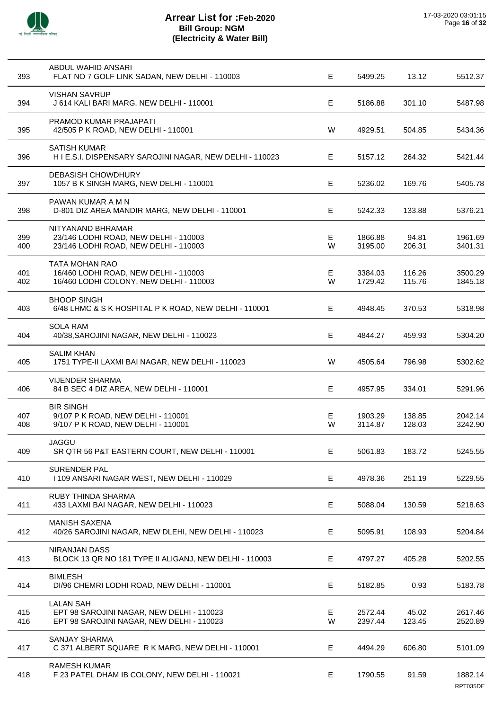

| 393        | ABDUL WAHID ANSARI<br>FLAT NO 7 GOLF LINK SADAN, NEW DELHI - 110003                                        | E.     | 5499.25            | 13.12            | 5512.37             |
|------------|------------------------------------------------------------------------------------------------------------|--------|--------------------|------------------|---------------------|
| 394        | <b>VISHAN SAVRUP</b><br>J 614 KALI BARI MARG, NEW DELHI - 110001                                           | Е      | 5186.88            | 301.10           | 5487.98             |
| 395        | PRAMOD KUMAR PRAJAPATI<br>42/505 P K ROAD, NEW DELHI - 110001                                              | W      | 4929.51            | 504.85           | 5434.36             |
| 396        | <b>SATISH KUMAR</b><br>H I E.S.I. DISPENSARY SAROJINI NAGAR, NEW DELHI - 110023                            | E.     | 5157.12            | 264.32           | 5421.44             |
| 397        | <b>DEBASISH CHOWDHURY</b><br>1057 B K SINGH MARG, NEW DELHI - 110001                                       | Е      | 5236.02            | 169.76           | 5405.78             |
| 398        | PAWAN KUMAR A M N<br>D-801 DIZ AREA MANDIR MARG, NEW DELHI - 110001                                        | E      | 5242.33            | 133.88           | 5376.21             |
| 399<br>400 | NITYANAND BHRAMAR<br>23/146 LODHI ROAD, NEW DELHI - 110003<br>23/146 LODHI ROAD, NEW DELHI - 110003        | Е<br>W | 1866.88<br>3195.00 | 94.81<br>206.31  | 1961.69<br>3401.31  |
| 401<br>402 | <b>TATA MOHAN RAO</b><br>16/460 LODHI ROAD, NEW DELHI - 110003<br>16/460 LODHI COLONY, NEW DELHI - 110003  | Е<br>W | 3384.03<br>1729.42 | 116.26<br>115.76 | 3500.29<br>1845.18  |
| 403        | <b>BHOOP SINGH</b><br>6/48 LHMC & S K HOSPITAL P K ROAD, NEW DELHI - 110001                                | E.     | 4948.45            | 370.53           | 5318.98             |
| 404        | <b>SOLA RAM</b><br>40/38, SAROJINI NAGAR, NEW DELHI - 110023                                               | Е      | 4844.27            | 459.93           | 5304.20             |
| 405        | <b>SALIM KHAN</b><br>1751 TYPE-II LAXMI BAI NAGAR, NEW DELHI - 110023                                      | W      | 4505.64            | 796.98           | 5302.62             |
| 406        | <b>VIJENDER SHARMA</b><br>84 B SEC 4 DIZ AREA, NEW DELHI - 110001                                          | E      | 4957.95            | 334.01           | 5291.96             |
| 407<br>408 | <b>BIR SINGH</b><br>9/107 P K ROAD, NEW DELHI - 110001<br>9/107 P K ROAD, NEW DELHI - 110001               | Е<br>W | 1903.29<br>3114.87 | 138.85<br>128.03 | 2042.14<br>3242.90  |
| 409        | JAGGU<br>SR QTR 56 P&T EASTERN COURT, NEW DELHI - 110001                                                   | E      | 5061.83            | 183.72           | 5245.55             |
| 410        | <b>SURENDER PAL</b><br>I 109 ANSARI NAGAR WEST, NEW DELHI - 110029                                         | Е      | 4978.36            | 251.19           | 5229.55             |
| 411        | RUBY THINDA SHARMA<br>433 LAXMI BAI NAGAR, NEW DELHI - 110023                                              | Е      | 5088.04            | 130.59           | 5218.63             |
| 412        | <b>MANISH SAXENA</b><br>40/26 SAROJINI NAGAR, NEW DLEHI, NEW DELHI - 110023                                | E.     | 5095.91            | 108.93           | 5204.84             |
| 413        | <b>NIRANJAN DASS</b><br>BLOCK 13 QR NO 181 TYPE II ALIGANJ, NEW DELHI - 110003                             | Е      | 4797.27            | 405.28           | 5202.55             |
| 414        | <b>BIMLESH</b><br>DI/96 CHEMRI LODHI ROAD, NEW DELHI - 110001                                              | Е      | 5182.85            | 0.93             | 5183.78             |
| 415<br>416 | <b>LALAN SAH</b><br>EPT 98 SAROJINI NAGAR, NEW DELHI - 110023<br>EPT 98 SAROJINI NAGAR, NEW DELHI - 110023 | E<br>W | 2572.44<br>2397.44 | 45.02<br>123.45  | 2617.46<br>2520.89  |
| 417        | <b>SANJAY SHARMA</b><br>C 371 ALBERT SQUARE R K MARG, NEW DELHI - 110001                                   | Е      | 4494.29            | 606.80           | 5101.09             |
| 418        | <b>RAMESH KUMAR</b><br>F 23 PATEL DHAM IB COLONY, NEW DELHI - 110021                                       | Е      | 1790.55            | 91.59            | 1882.14<br>RPT035DE |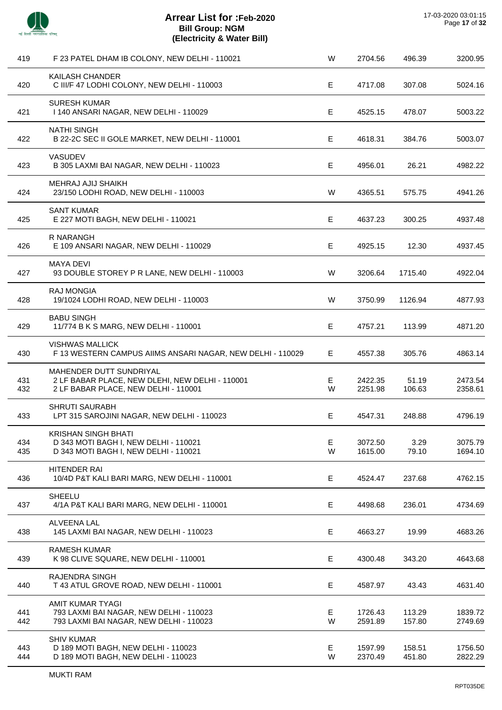

| 419        | F 23 PATEL DHAM IB COLONY, NEW DELHI - 110021                                                                      | W      | 2704.56            | 496.39           | 3200.95            |
|------------|--------------------------------------------------------------------------------------------------------------------|--------|--------------------|------------------|--------------------|
| 420        | KAILASH CHANDER<br>C III/F 47 LODHI COLONY, NEW DELHI - 110003                                                     | E      | 4717.08            | 307.08           | 5024.16            |
| 421        | <b>SURESH KUMAR</b><br>I 140 ANSARI NAGAR, NEW DELHI - 110029                                                      | E      | 4525.15            | 478.07           | 5003.22            |
| 422        | <b>NATHI SINGH</b><br>B 22-2C SEC II GOLE MARKET, NEW DELHI - 110001                                               | E      | 4618.31            | 384.76           | 5003.07            |
| 423        | <b>VASUDEV</b><br>B 305 LAXMI BAI NAGAR, NEW DELHI - 110023                                                        | E      | 4956.01            | 26.21            | 4982.22            |
| 424        | MEHRAJ AJIJ SHAIKH<br>23/150 LODHI ROAD, NEW DELHI - 110003                                                        | W      | 4365.51            | 575.75           | 4941.26            |
| 425        | <b>SANT KUMAR</b><br>E 227 MOTI BAGH, NEW DELHI - 110021                                                           | E      | 4637.23            | 300.25           | 4937.48            |
| 426        | R NARANGH<br>E 109 ANSARI NAGAR, NEW DELHI - 110029                                                                | E      | 4925.15            | 12.30            | 4937.45            |
| 427        | <b>MAYA DEVI</b><br>93 DOUBLE STOREY P R LANE, NEW DELHI - 110003                                                  | W      | 3206.64            | 1715.40          | 4922.04            |
| 428        | <b>RAJ MONGIA</b><br>19/1024 LODHI ROAD, NEW DELHI - 110003                                                        | W      | 3750.99            | 1126.94          | 4877.93            |
| 429        | <b>BABU SINGH</b><br>11/774 B K S MARG, NEW DELHI - 110001                                                         | E      | 4757.21            | 113.99           | 4871.20            |
| 430        | <b>VISHWAS MALLICK</b><br>F 13 WESTERN CAMPUS AIIMS ANSARI NAGAR, NEW DELHI - 110029                               | E      | 4557.38            | 305.76           | 4863.14            |
| 431<br>432 | MAHENDER DUTT SUNDRIYAL<br>2 LF BABAR PLACE, NEW DLEHI, NEW DELHI - 110001<br>2 LF BABAR PLACE, NEW DELHI - 110001 | Е<br>W | 2422.35<br>2251.98 | 51.19<br>106.63  | 2473.54<br>2358.61 |
| 433        | <b>SHRUTI SAURABH</b><br>LPT 315 SAROJINI NAGAR, NEW DELHI - 110023                                                | E      | 4547.31            | 248.88           | 4796.19            |
| 434<br>435 | KRISHAN SINGH BHATI<br>D 343 MOTI BAGH I, NEW DELHI - 110021<br>D 343 MOTI BAGH I, NEW DELHI - 110021              | E<br>W | 3072.50<br>1615.00 | 3.29<br>79.10    | 3075.79<br>1694.10 |
| 436        | <b>HITENDER RAI</b><br>10/4D P&T KALI BARI MARG, NEW DELHI - 110001                                                | Е      | 4524.47            | 237.68           | 4762.15            |
| 437        | SHEELU<br>4/1A P&T KALI BARI MARG, NEW DELHI - 110001                                                              | E      | 4498.68            | 236.01           | 4734.69            |
| 438        | ALVEENA LAL<br>145 LAXMI BAI NAGAR, NEW DELHI - 110023                                                             | E      | 4663.27            | 19.99            | 4683.26            |
| 439        | <b>RAMESH KUMAR</b><br>K 98 CLIVE SQUARE, NEW DELHI - 110001                                                       | Е      | 4300.48            | 343.20           | 4643.68            |
| 440        | RAJENDRA SINGH<br>T 43 ATUL GROVE ROAD, NEW DELHI - 110001                                                         | Е      | 4587.97            | 43.43            | 4631.40            |
| 441<br>442 | AMIT KUMAR TYAGI<br>793 LAXMI BAI NAGAR, NEW DELHI - 110023<br>793 LAXMI BAI NAGAR, NEW DELHI - 110023             | Е<br>W | 1726.43<br>2591.89 | 113.29<br>157.80 | 1839.72<br>2749.69 |
| 443<br>444 | <b>SHIV KUMAR</b><br>D 189 MOTI BAGH, NEW DELHI - 110023<br>D 189 MOTI BAGH, NEW DELHI - 110023                    | Е<br>W | 1597.99<br>2370.49 | 158.51<br>451.80 | 1756.50<br>2822.29 |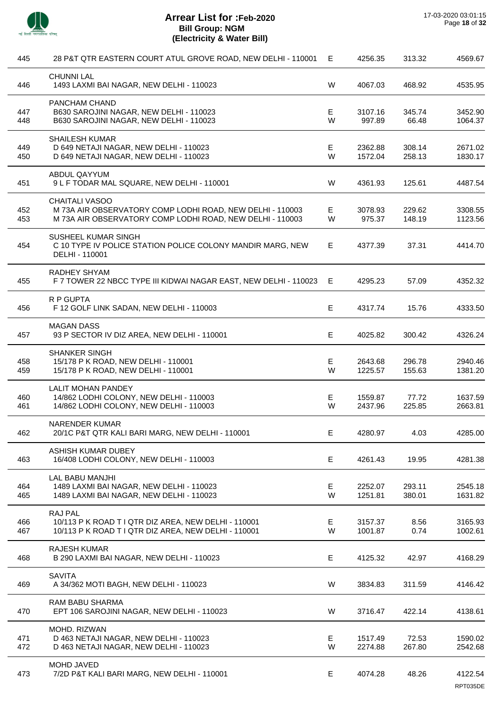

 $\overline{a}$ 

 $\overline{a}$ 

 $\overline{a}$ 

 $\overline{a}$ 

| 445        | 28 P&T QTR EASTERN COURT ATUL GROVE ROAD, NEW DELHI - 110001                                                                                    | Е       | 4256.35            | 313.32           | 4569.67             |
|------------|-------------------------------------------------------------------------------------------------------------------------------------------------|---------|--------------------|------------------|---------------------|
| 446        | <b>CHUNNI LAL</b><br>1493 LAXMI BAI NAGAR, NEW DELHI - 110023                                                                                   | W       | 4067.03            | 468.92           | 4535.95             |
| 447<br>448 | PANCHAM CHAND<br>B630 SAROJINI NAGAR, NEW DELHI - 110023<br>B630 SAROJINI NAGAR, NEW DELHI - 110023                                             | E<br>W  | 3107.16<br>997.89  | 345.74<br>66.48  | 3452.90<br>1064.37  |
| 449<br>450 | <b>SHAILESH KUMAR</b><br>D 649 NETAJI NAGAR, NEW DELHI - 110023<br>D 649 NETAJI NAGAR, NEW DELHI - 110023                                       | E<br>W  | 2362.88<br>1572.04 | 308.14<br>258.13 | 2671.02<br>1830.17  |
| 451        | ABDUL QAYYUM<br>9 L F TODAR MAL SQUARE, NEW DELHI - 110001                                                                                      | W       | 4361.93            | 125.61           | 4487.54             |
| 452<br>453 | <b>CHAITALI VASOO</b><br>M 73A AIR OBSERVATORY COMP LODHI ROAD, NEW DELHI - 110003<br>M 73A AIR OBSERVATORY COMP LODHI ROAD, NEW DELHI - 110003 | Е<br>W  | 3078.93<br>975.37  | 229.62<br>148.19 | 3308.55<br>1123.56  |
| 454        | SUSHEEL KUMAR SINGH<br>C 10 TYPE IV POLICE STATION POLICE COLONY MANDIR MARG, NEW<br>DELHI - 110001                                             | E       | 4377.39            | 37.31            | 4414.70             |
| 455        | RADHEY SHYAM<br>F 7 TOWER 22 NBCC TYPE III KIDWAI NAGAR EAST, NEW DELHI - 110023                                                                | Е       | 4295.23            | 57.09            | 4352.32             |
| 456        | R P GUPTA<br>F 12 GOLF LINK SADAN, NEW DELHI - 110003                                                                                           | E       | 4317.74            | 15.76            | 4333.50             |
| 457        | <b>MAGAN DASS</b><br>93 P SECTOR IV DIZ AREA, NEW DELHI - 110001                                                                                | E       | 4025.82            | 300.42           | 4326.24             |
| 458<br>459 | <b>SHANKER SINGH</b><br>15/178 P K ROAD, NEW DELHI - 110001<br>15/178 P K ROAD, NEW DELHI - 110001                                              | E<br>W  | 2643.68<br>1225.57 | 296.78<br>155.63 | 2940.46<br>1381.20  |
| 460<br>461 | <b>LALIT MOHAN PANDEY</b><br>14/862 LODHI COLONY, NEW DELHI - 110003<br>14/862 LODHI COLONY, NEW DELHI - 110003                                 | Е<br>W  | 1559.87<br>2437.96 | 77.72<br>225.85  | 1637.59<br>2663.81  |
| 462        | <b>NARENDER KUMAR</b><br>20/1C P&T QTR KALI BARI MARG, NEW DELHI - 110001                                                                       | E.      | 4280.97            | 4.03             | 4285.00             |
| 463        | ASHISH KUMAR DUBEY<br>16/408 LODHI COLONY, NEW DELHI - 110003                                                                                   | Е       | 4261.43            | 19.95            | 4281.38             |
| 464<br>465 | <b>LAL BABU MANJHI</b><br>1489 LAXMI BAI NAGAR, NEW DELHI - 110023<br>1489 LAXMI BAI NAGAR, NEW DELHI - 110023                                  | E<br>W  | 2252.07<br>1251.81 | 293.11<br>380.01 | 2545.18<br>1631.82  |
| 466<br>467 | RAJ PAL<br>10/113 P K ROAD T I QTR DIZ AREA, NEW DELHI - 110001<br>10/113 P K ROAD T I QTR DIZ AREA, NEW DELHI - 110001                         | E.<br>W | 3157.37<br>1001.87 | 8.56<br>0.74     | 3165.93<br>1002.61  |
| 468        | <b>RAJESH KUMAR</b><br>B 290 LAXMI BAI NAGAR, NEW DELHI - 110023                                                                                | E       | 4125.32            | 42.97            | 4168.29             |
| 469        | <b>SAVITA</b><br>A 34/362 MOTI BAGH, NEW DELHI - 110023                                                                                         | W       | 3834.83            | 311.59           | 4146.42             |
| 470        | <b>RAM BABU SHARMA</b><br>EPT 106 SAROJINI NAGAR, NEW DELHI - 110023                                                                            | W       | 3716.47            | 422.14           | 4138.61             |
| 471<br>472 | MOHD. RIZWAN<br>D 463 NETAJI NAGAR, NEW DELHI - 110023<br>D 463 NETAJI NAGAR, NEW DELHI - 110023                                                | E<br>W  | 1517.49<br>2274.88 | 72.53<br>267.80  | 1590.02<br>2542.68  |
| 473        | <b>MOHD JAVED</b><br>7/2D P&T KALI BARI MARG, NEW DELHI - 110001                                                                                | Е       | 4074.28            | 48.26            | 4122.54<br>RPT035DE |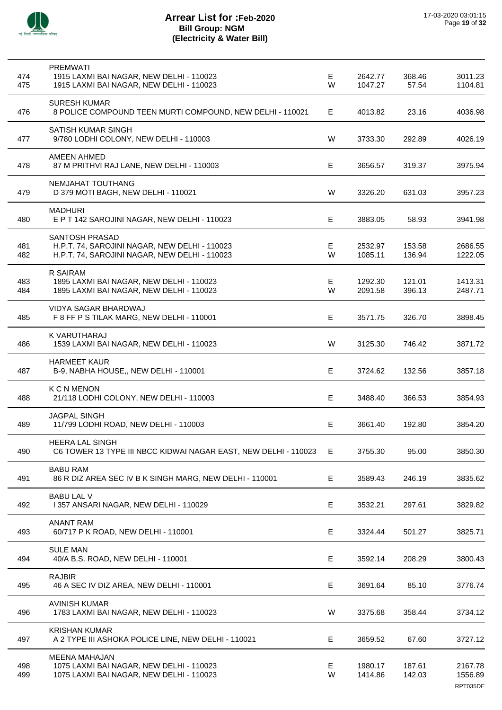

| 474<br>475 | <b>PREMWATI</b><br>1915 LAXMI BAI NAGAR, NEW DELHI - 110023<br>1915 LAXMI BAI NAGAR, NEW DELHI - 110023                 | Е<br>W | 2642.77<br>1047.27 | 368.46<br>57.54  | 3011.23<br>1104.81             |
|------------|-------------------------------------------------------------------------------------------------------------------------|--------|--------------------|------------------|--------------------------------|
| 476        | <b>SURESH KUMAR</b><br>8 POLICE COMPOUND TEEN MURTI COMPOUND, NEW DELHI - 110021                                        | E.     | 4013.82            | 23.16            | 4036.98                        |
| 477        | SATISH KUMAR SINGH<br>9/780 LODHI COLONY, NEW DELHI - 110003                                                            | W      | 3733.30            | 292.89           | 4026.19                        |
| 478        | <b>AMEEN AHMED</b><br>87 M PRITHVI RAJ LANE, NEW DELHI - 110003                                                         | E      | 3656.57            | 319.37           | 3975.94                        |
| 479        | NEMJAHAT TOUTHANG<br>D 379 MOTI BAGH, NEW DELHI - 110021                                                                | W      | 3326.20            | 631.03           | 3957.23                        |
| 480        | <b>MADHURI</b><br>E P T 142 SAROJINI NAGAR, NEW DELHI - 110023                                                          | E      | 3883.05            | 58.93            | 3941.98                        |
| 481<br>482 | <b>SANTOSH PRASAD</b><br>H.P.T. 74, SAROJINI NAGAR, NEW DELHI - 110023<br>H.P.T. 74, SAROJINI NAGAR, NEW DELHI - 110023 | Е<br>W | 2532.97<br>1085.11 | 153.58<br>136.94 | 2686.55<br>1222.05             |
| 483<br>484 | <b>R SAIRAM</b><br>1895 LAXMI BAI NAGAR, NEW DELHI - 110023<br>1895 LAXMI BAI NAGAR, NEW DELHI - 110023                 | E<br>W | 1292.30<br>2091.58 | 121.01<br>396.13 | 1413.31<br>2487.71             |
| 485        | VIDYA SAGAR BHARDWAJ<br>F 8 FF P S TILAK MARG, NEW DELHI - 110001                                                       | E      | 3571.75            | 326.70           | 3898.45                        |
| 486        | K VARUTHARAJ<br>1539 LAXMI BAI NAGAR, NEW DELHI - 110023                                                                | W      | 3125.30            | 746.42           | 3871.72                        |
| 487        | <b>HARMEET KAUR</b><br>B-9, NABHA HOUSE,, NEW DELHI - 110001                                                            | E      | 3724.62            | 132.56           | 3857.18                        |
| 488        | <b>K C N MENON</b><br>21/118 LODHI COLONY, NEW DELHI - 110003                                                           | E      | 3488.40            | 366.53           | 3854.93                        |
| 489        | <b>JAGPAL SINGH</b><br>11/799 LODHI ROAD, NEW DELHI - 110003                                                            | Е      | 3661.40            | 192.80           | 3854.20                        |
| 490        | <b>HEERA LAL SINGH</b><br>C6 TOWER 13 TYPE III NBCC KIDWAI NAGAR EAST, NEW DELHI - 110023                               | Е.     | 3755.30            | 95.00            | 3850.30                        |
| 491        | <b>BABU RAM</b><br>86 R DIZ AREA SEC IV B K SINGH MARG, NEW DELHI - 110001                                              | Е      | 3589.43            | 246.19           | 3835.62                        |
| 492        | <b>BABU LAL V</b><br>1357 ANSARI NAGAR, NEW DELHI - 110029                                                              | E      | 3532.21            | 297.61           | 3829.82                        |
| 493        | <b>ANANT RAM</b><br>60/717 P K ROAD, NEW DELHI - 110001                                                                 | Е      | 3324.44            | 501.27           | 3825.71                        |
| 494        | <b>SULE MAN</b><br>40/A B.S. ROAD, NEW DELHI - 110001                                                                   | Е      | 3592.14            | 208.29           | 3800.43                        |
| 495        | <b>RAJBIR</b><br>46 A SEC IV DIZ AREA, NEW DELHI - 110001                                                               | E      | 3691.64            | 85.10            | 3776.74                        |
| 496        | <b>AVINISH KUMAR</b><br>1783 LAXMI BAI NAGAR, NEW DELHI - 110023                                                        | W      | 3375.68            | 358.44           | 3734.12                        |
| 497        | <b>KRISHAN KUMAR</b><br>A 2 TYPE III ASHOKA POLICE LINE, NEW DELHI - 110021                                             | Е      | 3659.52            | 67.60            | 3727.12                        |
| 498<br>499 | <b>MEENA MAHAJAN</b><br>1075 LAXMI BAI NAGAR, NEW DELHI - 110023<br>1075 LAXMI BAI NAGAR, NEW DELHI - 110023            | Е<br>W | 1980.17<br>1414.86 | 187.61<br>142.03 | 2167.78<br>1556.89<br>RPT035DE |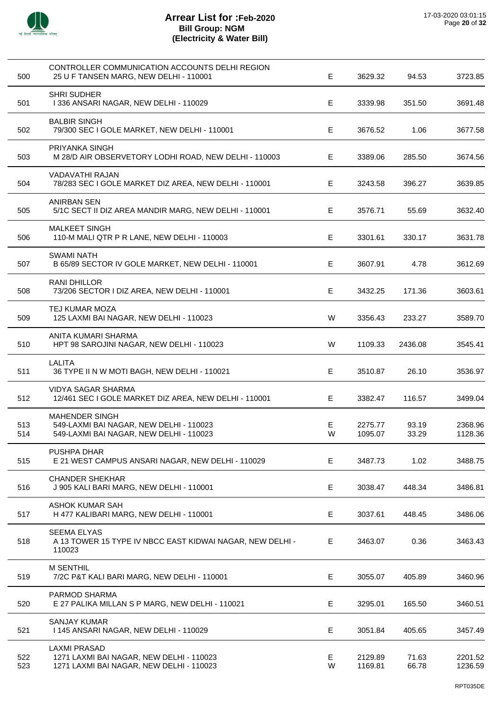

 $\overline{a}$ 

l,

 $\overline{a}$ 

l,

| 500        | CONTROLLER COMMUNICATION ACCOUNTS DELHI REGION<br>25 U F TANSEN MARG, NEW DELHI - 110001                    | E      | 3629.32            | 94.53          | 3723.85            |
|------------|-------------------------------------------------------------------------------------------------------------|--------|--------------------|----------------|--------------------|
| 501        | <b>SHRI SUDHER</b><br>I 336 ANSARI NAGAR, NEW DELHI - 110029                                                | Е      | 3339.98            | 351.50         | 3691.48            |
| 502        | <b>BALBIR SINGH</b><br>79/300 SEC I GOLE MARKET, NEW DELHI - 110001                                         | Е      | 3676.52            | 1.06           | 3677.58            |
| 503        | PRIYANKA SINGH<br>M 28/D AIR OBSERVETORY LODHI ROAD, NEW DELHI - 110003                                     | E      | 3389.06            | 285.50         | 3674.56            |
| 504        | VADAVATHI RAJAN<br>78/283 SEC I GOLE MARKET DIZ AREA, NEW DELHI - 110001                                    | Е      | 3243.58            | 396.27         | 3639.85            |
| 505        | <b>ANIRBAN SEN</b><br>5/1C SECT II DIZ AREA MANDIR MARG, NEW DELHI - 110001                                 | E.     | 3576.71            | 55.69          | 3632.40            |
| 506        | <b>MALKEET SINGH</b><br>110-M MALI QTR P R LANE, NEW DELHI - 110003                                         | E      | 3301.61            | 330.17         | 3631.78            |
| 507        | <b>SWAMI NATH</b><br>B 65/89 SECTOR IV GOLE MARKET, NEW DELHI - 110001                                      | Е      | 3607.91            | 4.78           | 3612.69            |
| 508        | <b>RANI DHILLOR</b><br>73/206 SECTOR I DIZ AREA, NEW DELHI - 110001                                         | Е      | 3432.25            | 171.36         | 3603.61            |
| 509        | TEJ KUMAR MOZA<br>125 LAXMI BAI NAGAR, NEW DELHI - 110023                                                   | W      | 3356.43            | 233.27         | 3589.70            |
| 510        | ANITA KUMARI SHARMA<br>HPT 98 SAROJINI NAGAR, NEW DELHI - 110023                                            | W      | 1109.33            | 2436.08        | 3545.41            |
| 511        | <b>LALITA</b><br>36 TYPE II N W MOTI BAGH, NEW DELHI - 110021                                               | Е      | 3510.87            | 26.10          | 3536.97            |
| 512        | <b>VIDYA SAGAR SHARMA</b><br>12/461 SEC I GOLE MARKET DIZ AREA, NEW DELHI - 110001                          | Е      | 3382.47            | 116.57         | 3499.04            |
| 513<br>514 | <b>MAHENDER SINGH</b><br>549-LAXMI BAI NAGAR, NEW DELHI - 110023<br>549-LAXMI BAI NAGAR, NEW DELHI - 110023 | Е<br>W | 2275.77<br>1095.07 | 93.19<br>33.29 | 2368.96<br>1128.36 |
| 515        | <b>PUSHPA DHAR</b><br>E 21 WEST CAMPUS ANSARI NAGAR, NEW DELHI - 110029                                     | E      | 3487.73            | 1.02           | 3488.75            |
| 516        | <b>CHANDER SHEKHAR</b><br>J 905 KALI BARI MARG, NEW DELHI - 110001                                          | E      | 3038.47            | 448.34         | 3486.81            |
| 517        | <b>ASHOK KUMAR SAH</b><br>H 477 KALIBARI MARG, NEW DELHI - 110001                                           | Е      | 3037.61            | 448.45         | 3486.06            |
| 518        | <b>SEEMA ELYAS</b><br>A 13 TOWER 15 TYPE IV NBCC EAST KIDWAI NAGAR, NEW DELHI -<br>110023                   | E.     | 3463.07            | 0.36           | 3463.43            |
| 519        | <b>M SENTHIL</b><br>7/2C P&T KALI BARI MARG, NEW DELHI - 110001                                             | E      | 3055.07            | 405.89         | 3460.96            |
| 520        | PARMOD SHARMA<br>E 27 PALIKA MILLAN S P MARG, NEW DELHI - 110021                                            | Е      | 3295.01            | 165.50         | 3460.51            |
| 521        | <b>SANJAY KUMAR</b><br>1145 ANSARI NAGAR, NEW DELHI - 110029                                                | Е      | 3051.84            | 405.65         | 3457.49            |
| 522<br>523 | <b>LAXMI PRASAD</b><br>1271 LAXMI BAI NAGAR, NEW DELHI - 110023<br>1271 LAXMI BAI NAGAR, NEW DELHI - 110023 | Е<br>W | 2129.89<br>1169.81 | 71.63<br>66.78 | 2201.52<br>1236.59 |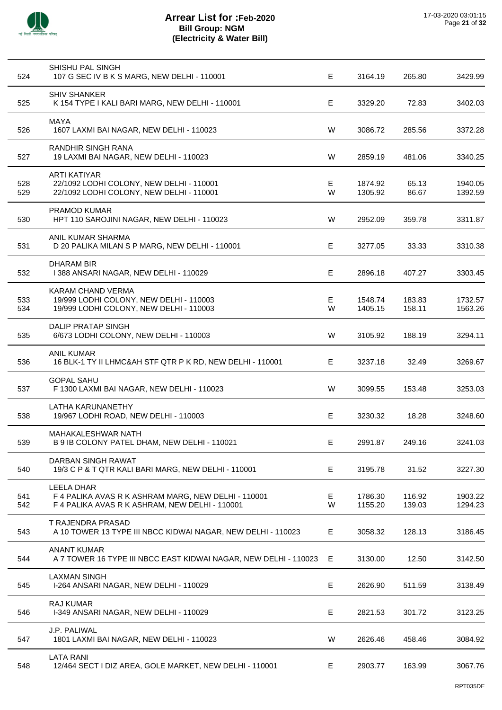

| 524        | SHISHU PAL SINGH<br>107 G SEC IV B K S MARG, NEW DELHI - 110001                                                            | E       | 3164.19            | 265.80           | 3429.99            |
|------------|----------------------------------------------------------------------------------------------------------------------------|---------|--------------------|------------------|--------------------|
| 525        | <b>SHIV SHANKER</b><br>K 154 TYPE I KALI BARI MARG, NEW DELHI - 110001                                                     | E       | 3329.20            | 72.83            | 3402.03            |
| 526        | <b>MAYA</b><br>1607 LAXMI BAI NAGAR, NEW DELHI - 110023                                                                    | W       | 3086.72            | 285.56           | 3372.28            |
| 527        | RANDHIR SINGH RANA<br>19 LAXMI BAI NAGAR, NEW DELHI - 110023                                                               | W       | 2859.19            | 481.06           | 3340.25            |
| 528<br>529 | <b>ARTI KATIYAR</b><br>22/1092 LODHI COLONY, NEW DELHI - 110001<br>22/1092 LODHI COLONY, NEW DELHI - 110001                | Е<br>W  | 1874.92<br>1305.92 | 65.13<br>86.67   | 1940.05<br>1392.59 |
| 530        | <b>PRAMOD KUMAR</b><br>HPT 110 SAROJINI NAGAR, NEW DELHI - 110023                                                          | W       | 2952.09            | 359.78           | 3311.87            |
| 531        | ANIL KUMAR SHARMA<br>D 20 PALIKA MILAN S P MARG, NEW DELHI - 110001                                                        | E.      | 3277.05            | 33.33            | 3310.38            |
| 532        | <b>DHARAM BIR</b><br>I 388 ANSARI NAGAR, NEW DELHI - 110029                                                                | E.      | 2896.18            | 407.27           | 3303.45            |
| 533<br>534 | KARAM CHAND VERMA<br>19/999 LODHI COLONY, NEW DELHI - 110003<br>19/999 LODHI COLONY, NEW DELHI - 110003                    | Е<br>W  | 1548.74<br>1405.15 | 183.83<br>158.11 | 1732.57<br>1563.26 |
| 535        | <b>DALIP PRATAP SINGH</b><br>6/673 LODHI COLONY, NEW DELHI - 110003                                                        | W       | 3105.92            | 188.19           | 3294.11            |
| 536        | <b>ANIL KUMAR</b><br>16 BLK-1 TY II LHMC&AH STF QTR P K RD, NEW DELHI - 110001                                             | E.      | 3237.18            | 32.49            | 3269.67            |
| 537        | <b>GOPAL SAHU</b><br>F 1300 LAXMI BAI NAGAR, NEW DELHI - 110023                                                            | W       | 3099.55            | 153.48           | 3253.03            |
| 538        | <b>LATHA KARUNANETHY</b><br>19/967 LODHI ROAD, NEW DELHI - 110003                                                          | E       | 3230.32            | 18.28            | 3248.60            |
| 539        | MAHAKALESHWAR NATH<br>B 9 IB COLONY PATEL DHAM, NEW DELHI - 110021                                                         | Е       | 2991.87            | 249.16           | 3241.03            |
| 540        | DARBAN SINGH RAWAT<br>19/3 C P & T QTR KALI BARI MARG, NEW DELHI - 110001                                                  | Е       | 3195.78            | 31.52            | 3227.30            |
| 541<br>542 | <b>LEELA DHAR</b><br>F 4 PALIKA AVAS R K ASHRAM MARG, NEW DELHI - 110001<br>F 4 PALIKA AVAS R K ASHRAM, NEW DELHI - 110001 | E.<br>W | 1786.30<br>1155.20 | 116.92<br>139.03 | 1903.22<br>1294.23 |
| 543        | T RAJENDRA PRASAD<br>A 10 TOWER 13 TYPE III NBCC KIDWAI NAGAR, NEW DELHI - 110023                                          | E.      | 3058.32            | 128.13           | 3186.45            |
| 544        | <b>ANANT KUMAR</b><br>A 7 TOWER 16 TYPE III NBCC EAST KIDWAI NAGAR, NEW DELHI - 110023                                     | E       | 3130.00            | 12.50            | 3142.50            |
| 545        | <b>LAXMAN SINGH</b><br>I-264 ANSARI NAGAR, NEW DELHI - 110029                                                              | E       | 2626.90            | 511.59           | 3138.49            |
| 546        | <b>RAJ KUMAR</b><br>I-349 ANSARI NAGAR, NEW DELHI - 110029                                                                 | E       | 2821.53            | 301.72           | 3123.25            |
| 547        | J.P. PALIWAL<br>1801 LAXMI BAI NAGAR, NEW DELHI - 110023                                                                   | W       | 2626.46            | 458.46           | 3084.92            |
| 548        | <b>LATA RANI</b><br>12/464 SECT I DIZ AREA, GOLE MARKET, NEW DELHI - 110001                                                | E       | 2903.77            | 163.99           | 3067.76            |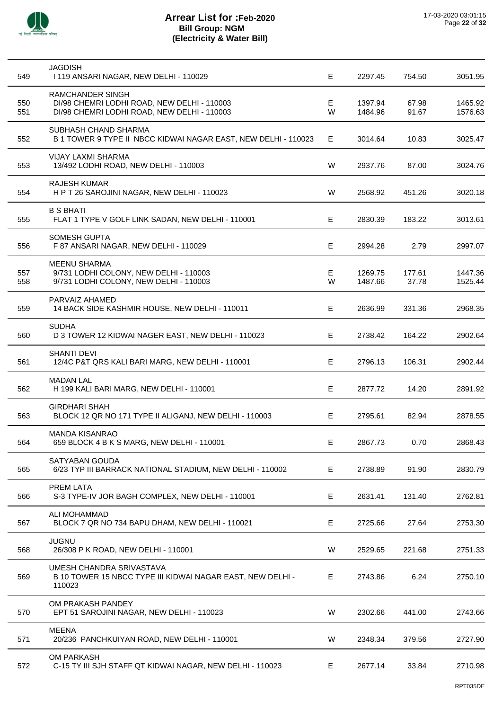

| 549        | <b>JAGDISH</b><br>I 119 ANSARI NAGAR, NEW DELHI - 110029                                                       | E      | 2297.45            | 754.50          | 3051.95            |
|------------|----------------------------------------------------------------------------------------------------------------|--------|--------------------|-----------------|--------------------|
| 550<br>551 | RAMCHANDER SINGH<br>DI/98 CHEMRI LODHI ROAD, NEW DELHI - 110003<br>DI/98 CHEMRI LODHI ROAD, NEW DELHI - 110003 | Е<br>W | 1397.94<br>1484.96 | 67.98<br>91.67  | 1465.92<br>1576.63 |
| 552        | SUBHASH CHAND SHARMA<br>B 1 TOWER 9 TYPE II NBCC KIDWAI NAGAR EAST, NEW DELHI - 110023                         | E      | 3014.64            | 10.83           | 3025.47            |
| 553        | <b>VIJAY LAXMI SHARMA</b><br>13/492 LODHI ROAD, NEW DELHI - 110003                                             | W      | 2937.76            | 87.00           | 3024.76            |
| 554        | <b>RAJESH KUMAR</b><br>HPT 26 SAROJINI NAGAR, NEW DELHI - 110023                                               | W      | 2568.92            | 451.26          | 3020.18            |
| 555        | <b>B S BHATI</b><br>FLAT 1 TYPE V GOLF LINK SADAN, NEW DELHI - 110001                                          | E      | 2830.39            | 183.22          | 3013.61            |
| 556        | <b>SOMESH GUPTA</b><br>F 87 ANSARI NAGAR, NEW DELHI - 110029                                                   | E      | 2994.28            | 2.79            | 2997.07            |
| 557<br>558 | <b>MEENU SHARMA</b><br>9/731 LODHI COLONY, NEW DELHI - 110003<br>9/731 LODHI COLONY, NEW DELHI - 110003        | Е<br>W | 1269.75<br>1487.66 | 177.61<br>37.78 | 1447.36<br>1525.44 |
| 559        | PARVAIZ AHAMED<br>14 BACK SIDE KASHMIR HOUSE, NEW DELHI - 110011                                               | Е      | 2636.99            | 331.36          | 2968.35            |
| 560        | <b>SUDHA</b><br>D 3 TOWER 12 KIDWAI NAGER EAST, NEW DELHI - 110023                                             | E      | 2738.42            | 164.22          | 2902.64            |
| 561        | <b>SHANTI DEVI</b><br>12/4C P&T QRS KALI BARI MARG, NEW DELHI - 110001                                         | E      | 2796.13            | 106.31          | 2902.44            |
| 562        | <b>MADAN LAL</b><br>H 199 KALI BARI MARG, NEW DELHI - 110001                                                   | E      | 2877.72            | 14.20           | 2891.92            |
| 563        | <b>GIRDHARI SHAH</b><br>BLOCK 12 QR NO 171 TYPE II ALIGANJ, NEW DELHI - 110003                                 | E.     | 2795.61            | 82.94           | 2878.55            |
| 564        | <b>MANDA KISANRAO</b><br>659 BLOCK 4 B K S MARG, NEW DELHI - 110001                                            | Е.     | 2867.73            | 0.70            | 2868.43            |
| 565        | SATYABAN GOUDA<br>6/23 TYP III BARRACK NATIONAL STADIUM, NEW DELHI - 110002                                    | E      | 2738.89            | 91.90           | 2830.79            |
| 566        | PREM LATA<br>S-3 TYPE-IV JOR BAGH COMPLEX, NEW DELHI - 110001                                                  | Е      | 2631.41            | 131.40          | 2762.81            |
| 567        | ALI MOHAMMAD<br>BLOCK 7 QR NO 734 BAPU DHAM, NEW DELHI - 110021                                                | Е      | 2725.66            | 27.64           | 2753.30            |
| 568        | <b>JUGNU</b><br>26/308 P K ROAD, NEW DELHI - 110001                                                            | W      | 2529.65            | 221.68          | 2751.33            |
| 569        | UMESH CHANDRA SRIVASTAVA<br>B 10 TOWER 15 NBCC TYPE III KIDWAI NAGAR EAST, NEW DELHI -<br>110023               | E.     | 2743.86            | 6.24            | 2750.10            |
| 570        | OM PRAKASH PANDEY<br>EPT 51 SAROJINI NAGAR, NEW DELHI - 110023                                                 | W      | 2302.66            | 441.00          | 2743.66            |
| 571        | <b>MEENA</b><br>20/236 PANCHKUIYAN ROAD, NEW DELHI - 110001                                                    | W      | 2348.34            | 379.56          | 2727.90            |
| 572        | OM PARKASH<br>C-15 TY III SJH STAFF QT KIDWAI NAGAR, NEW DELHI - 110023                                        | E.     | 2677.14            | 33.84           | 2710.98            |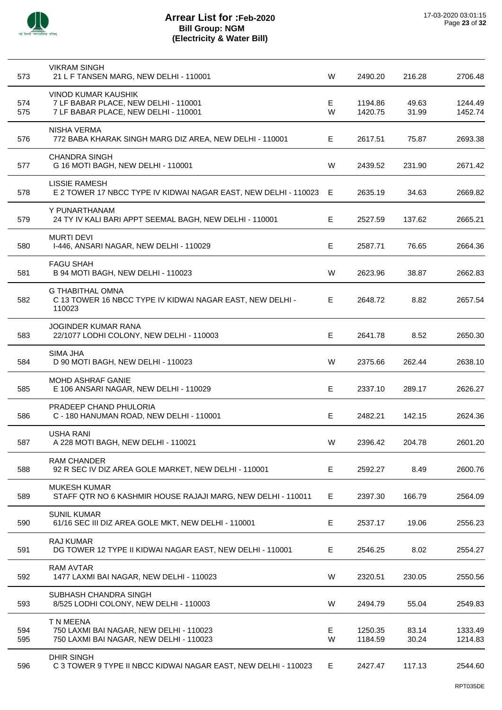

| 573        | <b>VIKRAM SINGH</b><br>21 L F TANSEN MARG, NEW DELHI - 110001                                              | W       | 2490.20            | 216.28         | 2706.48            |
|------------|------------------------------------------------------------------------------------------------------------|---------|--------------------|----------------|--------------------|
| 574<br>575 | <b>VINOD KUMAR KAUSHIK</b><br>7 LF BABAR PLACE, NEW DELHI - 110001<br>7 LF BABAR PLACE, NEW DELHI - 110001 | E.<br>W | 1194.86<br>1420.75 | 49.63<br>31.99 | 1244.49<br>1452.74 |
| 576        | <b>NISHA VERMA</b><br>772 BABA KHARAK SINGH MARG DIZ AREA, NEW DELHI - 110001                              | E.      | 2617.51            | 75.87          | 2693.38            |
| 577        | <b>CHANDRA SINGH</b><br>G 16 MOTI BAGH, NEW DELHI - 110001                                                 | W       | 2439.52            | 231.90         | 2671.42            |
| 578        | LISSIE RAMESH<br>E 2 TOWER 17 NBCC TYPE IV KIDWAI NAGAR EAST, NEW DELHI - 110023                           | Е       | 2635.19            | 34.63          | 2669.82            |
| 579        | Y PUNARTHANAM<br>24 TY IV KALI BARI APPT SEEMAL BAGH, NEW DELHI - 110001                                   | E       | 2527.59            | 137.62         | 2665.21            |
| 580        | <b>MURTI DEVI</b><br>I-446, ANSARI NAGAR, NEW DELHI - 110029                                               | E       | 2587.71            | 76.65          | 2664.36            |
| 581        | <b>FAGU SHAH</b><br>B 94 MOTI BAGH, NEW DELHI - 110023                                                     | W       | 2623.96            | 38.87          | 2662.83            |
| 582        | <b>G THABITHAL OMNA</b><br>C 13 TOWER 16 NBCC TYPE IV KIDWAI NAGAR EAST, NEW DELHI -<br>110023             | E       | 2648.72            | 8.82           | 2657.54            |
| 583        | <b>JOGINDER KUMAR RANA</b><br>22/1077 LODHI COLONY, NEW DELHI - 110003                                     | E       | 2641.78            | 8.52           | 2650.30            |
| 584        | SIMA JHA<br>D 90 MOTI BAGH, NEW DELHI - 110023                                                             | W       | 2375.66            | 262.44         | 2638.10            |
| 585        | <b>MOHD ASHRAF GANIE</b><br>E 106 ANSARI NAGAR, NEW DELHI - 110029                                         | E.      | 2337.10            | 289.17         | 2626.27            |
| 586        | PRADEEP CHAND PHULORIA<br>C - 180 HANUMAN ROAD, NEW DELHI - 110001                                         | Е       | 2482.21            | 142.15         | 2624.36            |
| 587        | <b>USHA RANI</b><br>A 228 MOTI BAGH, NEW DELHI - 110021                                                    | W       | 2396.42            | 204.78         | 2601.20            |
| 588        | <b>RAM CHANDER</b><br>92 R SEC IV DIZ AREA GOLE MARKET, NEW DELHI - 110001                                 | Е       | 2592.27            | 8.49           | 2600.76            |
| 589        | <b>MUKESH KUMAR</b><br>STAFF QTR NO 6 KASHMIR HOUSE RAJAJI MARG, NEW DELHI - 110011                        | E       | 2397.30            | 166.79         | 2564.09            |
| 590        | <b>SUNIL KUMAR</b><br>61/16 SEC III DIZ AREA GOLE MKT, NEW DELHI - 110001                                  | Е       | 2537.17            | 19.06          | 2556.23            |
| 591        | <b>RAJ KUMAR</b><br>DG TOWER 12 TYPE II KIDWAI NAGAR EAST, NEW DELHI - 110001                              | Е       | 2546.25            | 8.02           | 2554.27            |
| 592        | <b>RAM AVTAR</b><br>1477 LAXMI BAI NAGAR, NEW DELHI - 110023                                               | W       | 2320.51            | 230.05         | 2550.56            |
| 593        | SUBHASH CHANDRA SINGH<br>8/525 LODHI COLONY, NEW DELHI - 110003                                            | W       | 2494.79            | 55.04          | 2549.83            |
| 594<br>595 | T N MEENA<br>750 LAXMI BAI NAGAR, NEW DELHI - 110023<br>750 LAXMI BAI NAGAR, NEW DELHI - 110023            | E.<br>W | 1250.35<br>1184.59 | 83.14<br>30.24 | 1333.49<br>1214.83 |
| 596        | <b>DHIR SINGH</b><br>C 3 TOWER 9 TYPE II NBCC KIDWAI NAGAR EAST, NEW DELHI - 110023                        | Е       | 2427.47            | 117.13         | 2544.60            |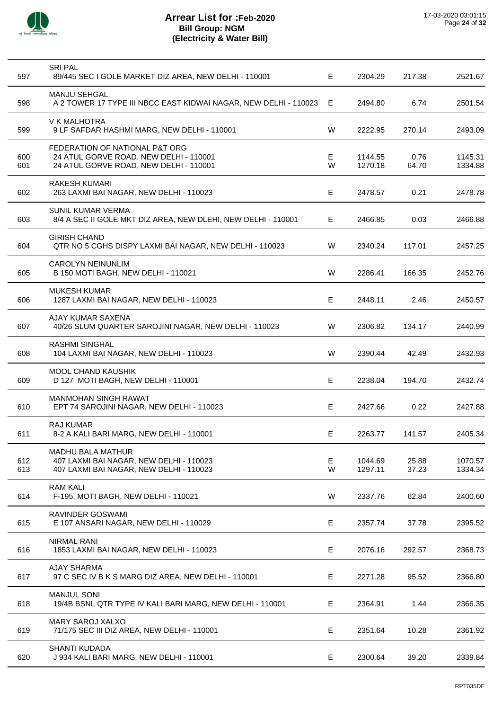

| 597        | <b>SRI PAL</b><br>89/445 SEC I GOLE MARKET DIZ AREA, NEW DELHI - 110001                                            | E       | 2304.29            | 217.38         | 2521.67            |
|------------|--------------------------------------------------------------------------------------------------------------------|---------|--------------------|----------------|--------------------|
| 598        | <b>MANJU SEHGAL</b><br>A 2 TOWER 17 TYPE III NBCC EAST KIDWAI NAGAR, NEW DELHI - 110023                            | Е       | 2494.80            | 6.74           | 2501.54            |
| 599        | V K MALHOTRA<br>9 LF SAFDAR HASHMI MARG, NEW DELHI - 110001                                                        | W       | 2222.95            | 270.14         | 2493.09            |
| 600<br>601 | FEDERATION OF NATIONAL P&T ORG<br>24 ATUL GORVE ROAD, NEW DELHI - 110001<br>24 ATUL GORVE ROAD, NEW DELHI - 110001 | E.<br>W | 1144.55<br>1270.18 | 0.76<br>64.70  | 1145.31<br>1334.88 |
| 602        | <b>RAKESH KUMARI</b><br>263 LAXMI BAI NAGAR, NEW DELHI - 110023                                                    | Е       | 2478.57            | 0.21           | 2478.78            |
| 603        | <b>SUNIL KUMAR VERMA</b><br>8/4 A SEC II GOLE MKT DIZ AREA, NEW DLEHI, NEW DELHI - 110001                          | Е       | 2466.85            | 0.03           | 2466.88            |
| 604        | <b>GIRISH CHAND</b><br>QTR NO 5 CGHS DISPY LAXMI BAI NAGAR, NEW DELHI - 110023                                     | W       | 2340.24            | 117.01         | 2457.25            |
| 605        | <b>CAROLYN NEINUNLIM</b><br>B 150 MOTI BAGH, NEW DELHI - 110021                                                    | W       | 2286.41            | 166.35         | 2452.76            |
| 606        | <b>MUKESH KUMAR</b><br>1287 LAXMI BAI NAGAR, NEW DELHI - 110023                                                    | E       | 2448.11            | 2.46           | 2450.57            |
| 607        | AJAY KUMAR SAXENA<br>40/26 SLUM QUARTER SAROJINI NAGAR, NEW DELHI - 110023                                         | W       | 2306.82            | 134.17         | 2440.99            |
| 608        | <b>RASHMI SINGHAL</b><br>104 LAXMI BAI NAGAR, NEW DELHI - 110023                                                   | W       | 2390.44            | 42.49          | 2432.93            |
| 609        | <b>MOOL CHAND KAUSHIK</b><br>D 127 MOTI BAGH, NEW DELHI - 110001                                                   | E       | 2238.04            | 194.70         | 2432.74            |
| 610        | <b>MANMOHAN SINGH RAWAT</b><br>EPT 74 SAROJINI NAGAR, NEW DELHI - 110023                                           | E       | 2427.66            | 0.22           | 2427.88            |
| 611        | <b>RAJ KUMAR</b><br>8-2 A KALI BARI MARG, NEW DELHI - 110001                                                       | E       | 2263.77            | 141.57         | 2405.34            |
| 612<br>613 | <b>MADHU BALA MATHUR</b><br>407 LAXMI BAI NAGAR, NEW DELHI - 110023<br>407 LAXMI BAI NAGAR, NEW DELHI - 110023     | Е<br>W  | 1044.69<br>1297.11 | 25.88<br>37.23 | 1070.57<br>1334.34 |
| 614        | <b>RAM KALI</b><br>F-195, MOTI BAGH, NEW DELHI - 110021                                                            | W       | 2337.76            | 62.84          | 2400.60            |
| 615        | <b>RAVINDER GOSWAMI</b><br>E 107 ANSARI NAGAR, NEW DELHI - 110029                                                  | E       | 2357.74            | 37.78          | 2395.52            |
| 616        | <b>NIRMAL RANI</b><br>1853 LAXMI BAI NAGAR, NEW DELHI - 110023                                                     | E       | 2076.16            | 292.57         | 2368.73            |
| 617        | <b>AJAY SHARMA</b><br>97 C SEC IV B K S MARG DIZ AREA, NEW DELHI - 110001                                          | E       | 2271.28            | 95.52          | 2366.80            |
| 618        | <b>MANJUL SONI</b><br>19/4B BSNL QTR TYPE IV KALI BARI MARG, NEW DELHI - 110001                                    | Е       | 2364.91            | 1.44           | 2366.35            |
| 619        | MARY SAROJ XALXO<br>71/175 SEC III DIZ AREA, NEW DELHI - 110001                                                    | Е       | 2351.64            | 10.28          | 2361.92            |
| 620        | <b>SHANTI KUDADA</b><br>J 934 KALI BARI MARG, NEW DELHI - 110001                                                   | E       | 2300.64            | 39.20          | 2339.84            |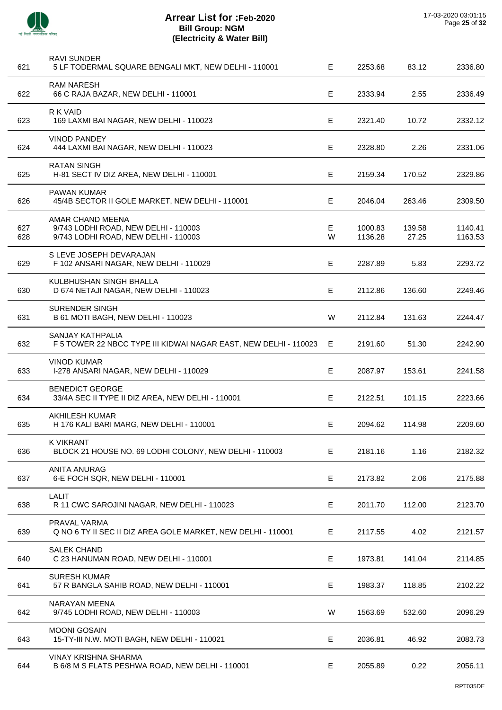

l,

l,

l,

 $\overline{a}$ 

| 621        | <b>RAVI SUNDER</b><br>5 LF TODERMAL SQUARE BENGALI MKT, NEW DELHI - 110001                       | E.      | 2253.68            | 83.12           | 2336.80            |
|------------|--------------------------------------------------------------------------------------------------|---------|--------------------|-----------------|--------------------|
| 622        | <b>RAM NARESH</b><br>66 C RAJA BAZAR, NEW DELHI - 110001                                         | E       | 2333.94            | 2.55            | 2336.49            |
| 623        | R K VAID<br>169 LAXMI BAI NAGAR, NEW DELHI - 110023                                              | E.      | 2321.40            | 10.72           | 2332.12            |
| 624        | <b>VINOD PANDEY</b><br>444 LAXMI BAI NAGAR, NEW DELHI - 110023                                   | E       | 2328.80            | 2.26            | 2331.06            |
| 625        | RATAN SINGH<br>H-81 SECT IV DIZ AREA, NEW DELHI - 110001                                         | E       | 2159.34            | 170.52          | 2329.86            |
| 626        | <b>PAWAN KUMAR</b><br>45/4B SECTOR II GOLE MARKET, NEW DELHI - 110001                            | E.      | 2046.04            | 263.46          | 2309.50            |
| 627<br>628 | AMAR CHAND MEENA<br>9/743 LODHI ROAD, NEW DELHI - 110003<br>9/743 LODHI ROAD, NEW DELHI - 110003 | E.<br>W | 1000.83<br>1136.28 | 139.58<br>27.25 | 1140.41<br>1163.53 |
| 629        | S LEVE JOSEPH DEVARAJAN<br>F 102 ANSARI NAGAR, NEW DELHI - 110029                                | E.      | 2287.89            | 5.83            | 2293.72            |
| 630        | KULBHUSHAN SINGH BHALLA<br>D 674 NETAJI NAGAR, NEW DELHI - 110023                                | E       | 2112.86            | 136.60          | 2249.46            |
| 631        | <b>SURENDER SINGH</b><br>B 61 MOTI BAGH, NEW DELHI - 110023                                      | W       | 2112.84            | 131.63          | 2244.47            |
| 632        | SANJAY KATHPALIA<br>F 5 TOWER 22 NBCC TYPE III KIDWAI NAGAR EAST, NEW DELHI - 110023             | Е       | 2191.60            | 51.30           | 2242.90            |
| 633        | <b>VINOD KUMAR</b><br>I-278 ANSARI NAGAR, NEW DELHI - 110029                                     | E       | 2087.97            | 153.61          | 2241.58            |
| 634        | <b>BENEDICT GEORGE</b><br>33/4A SEC II TYPE II DIZ AREA, NEW DELHI - 110001                      | E       | 2122.51            | 101.15          | 2223.66            |
| 635        | AKHILESH KUMAR<br>H 176 KALI BARI MARG, NEW DELHI - 110001                                       | E       | 2094.62            | 114.98          | 2209.60            |
| 636        | <b>K VIKRANT</b><br>BLOCK 21 HOUSE NO. 69 LODHI COLONY, NEW DELHI - 110003                       | E.      | 2181.16            | 1.16            | 2182.32            |
| 637        | <b>ANITA ANURAG</b><br>6-E FOCH SQR, NEW DELHI - 110001                                          | Е       | 2173.82            | 2.06            | 2175.88            |
| 638        | LALIT<br>R 11 CWC SAROJINI NAGAR, NEW DELHI - 110023                                             | Е       | 2011.70            | 112.00          | 2123.70            |
| 639        | PRAVAL VARMA<br>Q NO 6 TY II SEC II DIZ AREA GOLE MARKET, NEW DELHI - 110001                     | Е       | 2117.55            | 4.02            | 2121.57            |
| 640        | <b>SALEK CHAND</b><br>C 23 HANUMAN ROAD, NEW DELHI - 110001                                      | Е       | 1973.81            | 141.04          | 2114.85            |
| 641        | <b>SURESH KUMAR</b><br>57 R BANGLA SAHIB ROAD, NEW DELHI - 110001                                | E       | 1983.37            | 118.85          | 2102.22            |
| 642        | NARAYAN MEENA<br>9/745 LODHI ROAD, NEW DELHI - 110003                                            | W       | 1563.69            | 532.60          | 2096.29            |
| 643        | <b>MOONI GOSAIN</b><br>15-TY-III N.W. MOTI BAGH, NEW DELHI - 110021                              | E       | 2036.81            | 46.92           | 2083.73            |
| 644        | VINAY KRISHNA SHARMA<br>B 6/8 M S FLATS PESHWA ROAD, NEW DELHI - 110001                          | Е       | 2055.89            | 0.22            | 2056.11            |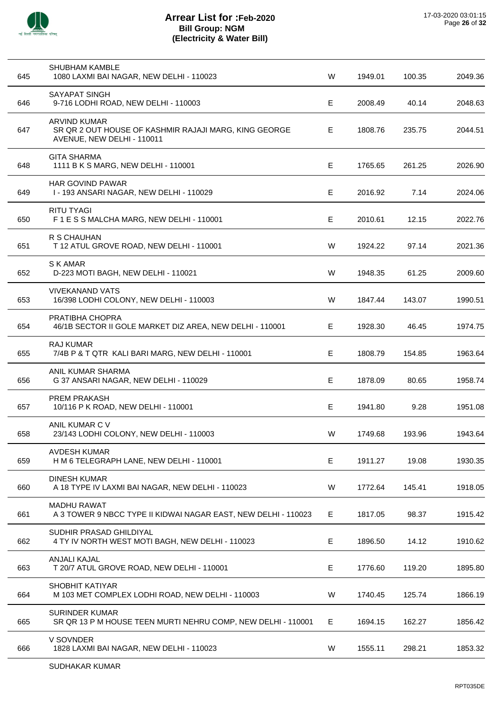

| 645 | <b>SHUBHAM KAMBLE</b><br>1080 LAXMI BAI NAGAR, NEW DELHI - 110023                                          | W  | 1949.01 | 100.35 | 2049.36 |
|-----|------------------------------------------------------------------------------------------------------------|----|---------|--------|---------|
| 646 | SAYAPAT SINGH<br>9-716 LODHI ROAD, NEW DELHI - 110003                                                      | Е  | 2008.49 | 40.14  | 2048.63 |
| 647 | <b>ARVIND KUMAR</b><br>SR QR 2 OUT HOUSE OF KASHMIR RAJAJI MARG, KING GEORGE<br>AVENUE, NEW DELHI - 110011 | Е  | 1808.76 | 235.75 | 2044.51 |
| 648 | <b>GITA SHARMA</b><br>1111 B K S MARG, NEW DELHI - 110001                                                  | Е  | 1765.65 | 261.25 | 2026.90 |
| 649 | <b>HAR GOVIND PAWAR</b><br>I-193 ANSARI NAGAR, NEW DELHI-110029                                            | Е  | 2016.92 | 7.14   | 2024.06 |
| 650 | <b>RITU TYAGI</b><br>F 1 E S S MALCHA MARG, NEW DELHI - 110001                                             | E  | 2010.61 | 12.15  | 2022.76 |
| 651 | R S CHAUHAN<br>T 12 ATUL GROVE ROAD, NEW DELHI - 110001                                                    | W  | 1924.22 | 97.14  | 2021.36 |
| 652 | S K AMAR<br>D-223 MOTI BAGH, NEW DELHI - 110021                                                            | W  | 1948.35 | 61.25  | 2009.60 |
| 653 | <b>VIVEKANAND VATS</b><br>16/398 LODHI COLONY, NEW DELHI - 110003                                          | W  | 1847.44 | 143.07 | 1990.51 |
| 654 | PRATIBHA CHOPRA<br>46/1B SECTOR II GOLE MARKET DIZ AREA, NEW DELHI - 110001                                | E  | 1928.30 | 46.45  | 1974.75 |
| 655 | <b>RAJ KUMAR</b><br>7/4B P & T QTR KALI BARI MARG, NEW DELHI - 110001                                      | Е  | 1808.79 | 154.85 | 1963.64 |
| 656 | ANIL KUMAR SHARMA<br>G 37 ANSARI NAGAR, NEW DELHI - 110029                                                 | Е  | 1878.09 | 80.65  | 1958.74 |
| 657 | <b>PREM PRAKASH</b><br>10/116 P K ROAD, NEW DELHI - 110001                                                 | Е  | 1941.80 | 9.28   | 1951.08 |
| 658 | ANIL KUMAR C V<br>23/143 LODHI COLONY, NEW DELHI - 110003                                                  | W  | 1749.68 | 193.96 | 1943.64 |
| 659 | <b>AVDESH KUMAR</b><br>H M 6 TELEGRAPH LANE, NEW DELHI - 110001                                            | E. | 1911.27 | 19.08  | 1930.35 |
| 660 | <b>DINESH KUMAR</b><br>A 18 TYPE IV LAXMI BAI NAGAR, NEW DELHI - 110023                                    | W  | 1772.64 | 145.41 | 1918.05 |
| 661 | <b>MADHU RAWAT</b><br>A 3 TOWER 9 NBCC TYPE II KIDWAI NAGAR EAST, NEW DELHI - 110023                       | Е  | 1817.05 | 98.37  | 1915.42 |
| 662 | SUDHIR PRASAD GHILDIYAL<br>4 TY IV NORTH WEST MOTI BAGH, NEW DELHI - 110023                                | Е  | 1896.50 | 14.12  | 1910.62 |
| 663 | ANJALI KAJAL<br>T 20/7 ATUL GROVE ROAD, NEW DELHI - 110001                                                 | Е  | 1776.60 | 119.20 | 1895.80 |
| 664 | <b>SHOBHIT KATIYAR</b><br>M 103 MET COMPLEX LODHI ROAD, NEW DELHI - 110003                                 | W  | 1740.45 | 125.74 | 1866.19 |
| 665 | <b>SURINDER KUMAR</b><br>SR QR 13 P M HOUSE TEEN MURTI NEHRU COMP, NEW DELHI - 110001                      | E. | 1694.15 | 162.27 | 1856.42 |
| 666 | V SOVNDER<br>1828 LAXMI BAI NAGAR, NEW DELHI - 110023                                                      | W  | 1555.11 | 298.21 | 1853.32 |
|     |                                                                                                            |    |         |        |         |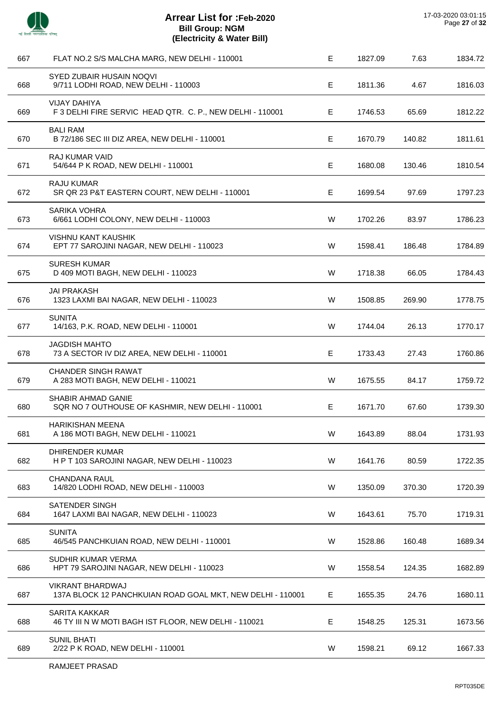

| 667 | FLAT NO.2 S/S MALCHA MARG, NEW DELHI - 110001                                         | Е  | 1827.09 | 7.63   | 1834.72 |
|-----|---------------------------------------------------------------------------------------|----|---------|--------|---------|
| 668 | SYED ZUBAIR HUSAIN NOQVI<br>9/711 LODHI ROAD, NEW DELHI - 110003                      | Е  | 1811.36 | 4.67   | 1816.03 |
| 669 | <b>VIJAY DAHIYA</b><br>F 3 DELHI FIRE SERVIC HEAD QTR. C. P., NEW DELHI - 110001      | E. | 1746.53 | 65.69  | 1812.22 |
| 670 | <b>BALI RAM</b><br>B 72/186 SEC III DIZ AREA, NEW DELHI - 110001                      | Е  | 1670.79 | 140.82 | 1811.61 |
| 671 | <b>RAJ KUMAR VAID</b><br>54/644 P K ROAD, NEW DELHI - 110001                          | Е  | 1680.08 | 130.46 | 1810.54 |
| 672 | <b>RAJU KUMAR</b><br>SR QR 23 P&T EASTERN COURT, NEW DELHI - 110001                   | Е  | 1699.54 | 97.69  | 1797.23 |
| 673 | <b>SARIKA VOHRA</b><br>6/661 LODHI COLONY, NEW DELHI - 110003                         | W  | 1702.26 | 83.97  | 1786.23 |
| 674 | <b>VISHNU KANT KAUSHIK</b><br>EPT 77 SAROJINI NAGAR, NEW DELHI - 110023               | W  | 1598.41 | 186.48 | 1784.89 |
| 675 | <b>SURESH KUMAR</b><br>D 409 MOTI BAGH, NEW DELHI - 110023                            | W  | 1718.38 | 66.05  | 1784.43 |
| 676 | <b>JAI PRAKASH</b><br>1323 LAXMI BAI NAGAR, NEW DELHI - 110023                        | W  | 1508.85 | 269.90 | 1778.75 |
| 677 | <b>SUNITA</b><br>14/163, P.K. ROAD, NEW DELHI - 110001                                | W  | 1744.04 | 26.13  | 1770.17 |
| 678 | <b>JAGDISH MAHTO</b><br>73 A SECTOR IV DIZ AREA, NEW DELHI - 110001                   | Е  | 1733.43 | 27.43  | 1760.86 |
| 679 | <b>CHANDER SINGH RAWAT</b><br>A 283 MOTI BAGH, NEW DELHI - 110021                     | W  | 1675.55 | 84.17  | 1759.72 |
| 680 | SHABIR AHMAD GANIE<br>SQR NO 7 OUTHOUSE OF KASHMIR, NEW DELHI - 110001                | E. | 1671.70 | 67.60  | 1739.30 |
| 681 | <b>HARIKISHAN MEENA</b><br>A 186 MOTI BAGH, NEW DELHI - 110021                        | W  | 1643.89 | 88.04  | 1731.93 |
| 682 | DHIRENDER KUMAR<br>HPT 103 SAROJINI NAGAR, NEW DELHI - 110023                         | W  | 1641.76 | 80.59  | 1722.35 |
| 683 | <b>CHANDANA RAUL</b><br>14/820 LODHI ROAD, NEW DELHI - 110003                         | W  | 1350.09 | 370.30 | 1720.39 |
| 684 | <b>SATENDER SINGH</b><br>1647 LAXMI BAI NAGAR, NEW DELHI - 110023                     | W  | 1643.61 | 75.70  | 1719.31 |
| 685 | <b>SUNITA</b><br>46/545 PANCHKUIAN ROAD, NEW DELHI - 110001                           | W  | 1528.86 | 160.48 | 1689.34 |
| 686 | SUDHIR KUMAR VERMA<br>HPT 79 SAROJINI NAGAR, NEW DELHI - 110023                       | W  | 1558.54 | 124.35 | 1682.89 |
| 687 | <b>VIKRANT BHARDWAJ</b><br>137A BLOCK 12 PANCHKUIAN ROAD GOAL MKT, NEW DELHI - 110001 | Е  | 1655.35 | 24.76  | 1680.11 |
| 688 | SARITA KAKKAR<br>46 TY III N W MOTI BAGH IST FLOOR, NEW DELHI - 110021                | Е  | 1548.25 | 125.31 | 1673.56 |
| 689 | <b>SUNIL BHATI</b><br>2/22 P K ROAD, NEW DELHI - 110001                               | W  | 1598.21 | 69.12  | 1667.33 |
|     |                                                                                       |    |         |        |         |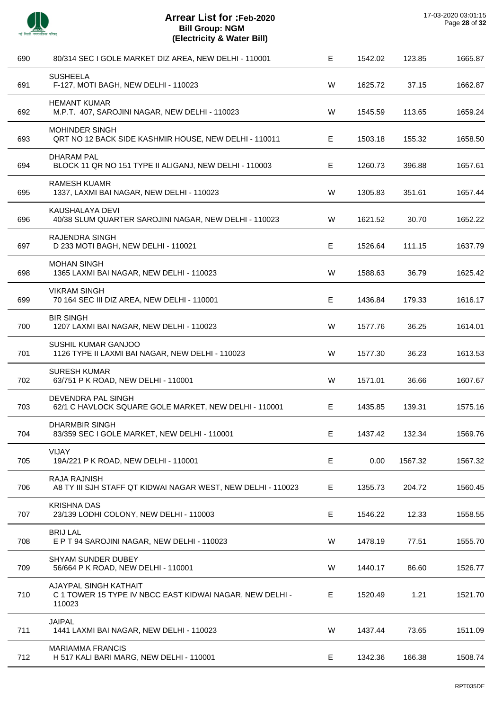

 $\overline{a}$ 

J.

 $\overline{a}$ 

 $\overline{a}$ 

J.

 $\overline{a}$ 

J.

 $\overline{a}$ 

J.

| 690 | 80/314 SEC I GOLE MARKET DIZ AREA, NEW DELHI - 110001                                       | E  | 1542.02 | 123.85  | 1665.87 |
|-----|---------------------------------------------------------------------------------------------|----|---------|---------|---------|
| 691 | <b>SUSHEELA</b><br>F-127, MOTI BAGH, NEW DELHI - 110023                                     | W  | 1625.72 | 37.15   | 1662.87 |
| 692 | <b>HEMANT KUMAR</b><br>M.P.T. 407, SAROJINI NAGAR, NEW DELHI - 110023                       | W  | 1545.59 | 113.65  | 1659.24 |
| 693 | MOHINDER SINGH<br>QRT NO 12 BACK SIDE KASHMIR HOUSE, NEW DELHI - 110011                     | Е  | 1503.18 | 155.32  | 1658.50 |
| 694 | <b>DHARAM PAL</b><br>BLOCK 11 QR NO 151 TYPE II ALIGANJ, NEW DELHI - 110003                 | Е  | 1260.73 | 396.88  | 1657.61 |
| 695 | RAMESH KUAMR<br>1337, LAXMI BAI NAGAR, NEW DELHI - 110023                                   | W  | 1305.83 | 351.61  | 1657.44 |
| 696 | KAUSHALAYA DEVI<br>40/38 SLUM QUARTER SAROJINI NAGAR, NEW DELHI - 110023                    | W  | 1621.52 | 30.70   | 1652.22 |
| 697 | <b>RAJENDRA SINGH</b><br>D 233 MOTI BAGH, NEW DELHI - 110021                                | E  | 1526.64 | 111.15  | 1637.79 |
| 698 | <b>MOHAN SINGH</b><br>1365 LAXMI BAI NAGAR, NEW DELHI - 110023                              | W  | 1588.63 | 36.79   | 1625.42 |
| 699 | <b>VIKRAM SINGH</b><br>70 164 SEC III DIZ AREA, NEW DELHI - 110001                          | E  | 1436.84 | 179.33  | 1616.17 |
| 700 | <b>BIR SINGH</b><br>1207 LAXMI BAI NAGAR, NEW DELHI - 110023                                | W  | 1577.76 | 36.25   | 1614.01 |
| 701 | SUSHIL KUMAR GANJOO<br>1126 TYPE II LAXMI BAI NAGAR, NEW DELHI - 110023                     | W  | 1577.30 | 36.23   | 1613.53 |
| 702 | <b>SURESH KUMAR</b><br>63/751 P K ROAD, NEW DELHI - 110001                                  | W  | 1571.01 | 36.66   | 1607.67 |
| 703 | DEVENDRA PAL SINGH<br>62/1 C HAVLOCK SQUARE GOLE MARKET, NEW DELHI - 110001                 | Е  | 1435.85 | 139.31  | 1575.16 |
| 704 | DHARMBIR SINGH<br>83/359 SEC I GOLE MARKET, NEW DELHI - 110001                              | E. | 1437.42 | 132.34  | 1569.76 |
| 705 | VIJAY<br>19A/221 P K ROAD, NEW DELHI - 110001                                               | E  | 0.00    | 1567.32 | 1567.32 |
| 706 | RAJA RAJNISH<br>A8 TY III SJH STAFF QT KIDWAI NAGAR WEST, NEW DELHI - 110023                | Е  | 1355.73 | 204.72  | 1560.45 |
| 707 | <b>KRISHNA DAS</b><br>23/139 LODHI COLONY, NEW DELHI - 110003                               | E  | 1546.22 | 12.33   | 1558.55 |
| 708 | <b>BRIJ LAL</b><br>E P T 94 SAROJINI NAGAR, NEW DELHI - 110023                              | W  | 1478.19 | 77.51   | 1555.70 |
| 709 | SHYAM SUNDER DUBEY<br>56/664 P K ROAD, NEW DELHI - 110001                                   | W  | 1440.17 | 86.60   | 1526.77 |
| 710 | AJAYPAL SINGH KATHAIT<br>C 1 TOWER 15 TYPE IV NBCC EAST KIDWAI NAGAR, NEW DELHI -<br>110023 | Е  | 1520.49 | 1.21    | 1521.70 |
| 711 | <b>JAIPAL</b><br>1441 LAXMI BAI NAGAR, NEW DELHI - 110023                                   | W  | 1437.44 | 73.65   | 1511.09 |
| 712 | <b>MARIAMMA FRANCIS</b><br>H 517 KALI BARI MARG, NEW DELHI - 110001                         | E  | 1342.36 | 166.38  | 1508.74 |
|     |                                                                                             |    |         |         |         |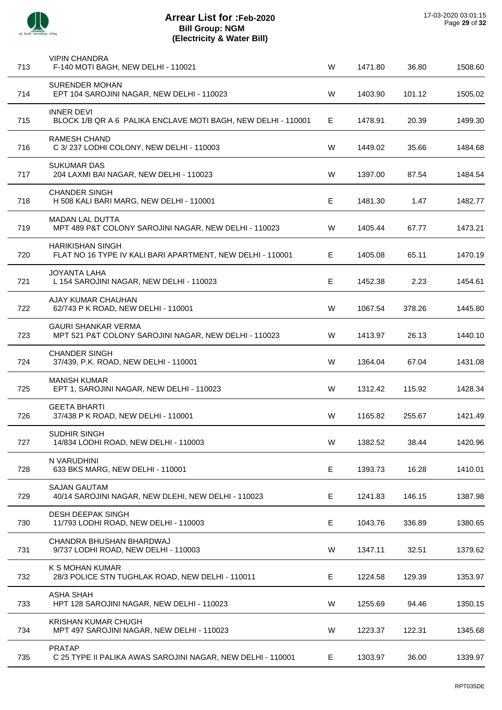| <b>VIPIN CHANDRA</b><br>F-140 MOTI BAGH, NEW DELHI - 110021                           | W | 1471.80 | 36.80  | 1508.60 |
|---------------------------------------------------------------------------------------|---|---------|--------|---------|
| <b>SURENDER MOHAN</b><br>EPT 104 SAROJINI NAGAR, NEW DELHI - 110023                   | W | 1403.90 | 101.12 | 1505.02 |
| <b>INNER DEVI</b><br>BLOCK 1/B QR A 6 PALIKA ENCLAVE MOTI BAGH, NEW DELHI - 110001    | Е | 1478.91 | 20.39  | 1499.30 |
| <b>RAMESH CHAND</b><br>C 3/237 LODHI COLONY, NEW DELHI - 110003                       | W | 1449.02 | 35.66  | 1484.68 |
| <b>SUKUMAR DAS</b><br>204 LAXMI BAI NAGAR, NEW DELHI - 110023                         | W | 1397.00 | 87.54  | 1484.54 |
| <b>CHANDER SINGH</b><br>H 508 KALI BARI MARG, NEW DELHI - 110001                      | Е | 1481.30 | 1.47   | 1482.77 |
| <b>MADAN LAL DUTTA</b><br>MPT 489 P&T COLONY SAROJINI NAGAR, NEW DELHI - 110023       | W | 1405.44 | 67.77  | 1473.21 |
| <b>HARIKISHAN SINGH</b><br>FLAT NO 16 TYPE IV KALI BARI APARTMENT, NEW DELHI - 110001 | Е | 1405.08 | 65.11  | 1470.19 |
| <b>JOYANTA LAHA</b><br>L 154 SAROJINI NAGAR, NEW DELHI - 110023                       | Е | 1452.38 | 2.23   | 1454.61 |
| AJAY KUMAR CHAUHAN<br>62/743 P K ROAD, NEW DELHI - 110001                             | W | 1067.54 | 378.26 | 1445.80 |
| <b>GAURI SHANKAR VERMA</b><br>MPT 521 P&T COLONY SAROJINI NAGAR, NEW DELHI - 110023   | W | 1413.97 | 26.13  | 1440.10 |
| <b>CHANDER SINGH</b><br>37/439, P.K. ROAD, NEW DELHI - 110001                         | W | 1364.04 | 67.04  | 1431.08 |
| <b>MANISH KUMAR</b><br>EPT 1, SAROJINI NAGAR, NEW DELHI - 110023                      | W | 1312.42 | 115.92 | 1428.34 |
| <b>GEETA BHARTI</b><br>37/438 P K ROAD, NEW DELHI - 110001                            | W | 1165.82 | 255.67 | 1421.49 |
| SUDHIR SINGH<br>14/834 LODHI ROAD, NEW DELHI - 110003                                 | W | 1382.52 | 38.44  | 1420.96 |
| N VARUDHINI<br>633 BKS MARG, NEW DELHI - 110001                                       | E | 1393.73 | 16.28  | 1410.01 |
| <b>SAJAN GAUTAM</b><br>40/14 SAROJINI NAGAR, NEW DLEHI, NEW DELHI - 110023            | Е | 1241.83 | 146.15 | 1387.98 |
| <b>DESH DEEPAK SINGH</b><br>11/793 LODHI ROAD, NEW DELHI - 110003                     | Е | 1043.76 | 336.89 | 1380.65 |
| CHANDRA BHUSHAN BHARDWAJ<br>9/737 LODHI ROAD, NEW DELHI - 110003                      | W | 1347.11 | 32.51  | 1379.62 |
| K S MOHAN KUMAR<br>28/3 POLICE STN TUGHLAK ROAD, NEW DELHI - 110011                   | Е | 1224.58 | 129.39 | 1353.97 |
| <b>ASHA SHAH</b><br>HPT 128 SAROJINI NAGAR, NEW DELHI - 110023                        | W | 1255.69 | 94.46  | 1350.15 |
| <b>KRISHAN KUMAR CHUGH</b><br>MPT 497 SAROJINI NAGAR, NEW DELHI - 110023              | W | 1223.37 | 122.31 | 1345.68 |
| <b>PRATAP</b><br>C 25 TYPE II PALIKA AWAS SAROJINI NAGAR, NEW DELHI - 110001          | Е | 1303.97 | 36.00  | 1339.97 |
|                                                                                       |   |         |        |         |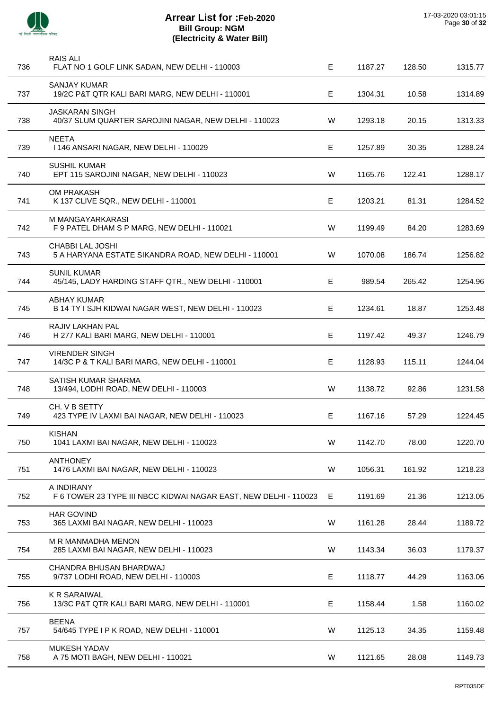

| 736 | RAIS ALI<br>FLAT NO 1 GOLF LINK SADAN, NEW DELHI - 110003                      | Е | 1187.27 | 128.50 | 1315.77 |
|-----|--------------------------------------------------------------------------------|---|---------|--------|---------|
| 737 | <b>SANJAY KUMAR</b><br>19/2C P&T QTR KALI BARI MARG, NEW DELHI - 110001        | Е | 1304.31 | 10.58  | 1314.89 |
| 738 | <b>JASKARAN SINGH</b><br>40/37 SLUM QUARTER SAROJINI NAGAR, NEW DELHI - 110023 | W | 1293.18 | 20.15  | 1313.33 |
| 739 | <b>NEETA</b><br>1146 ANSARI NAGAR, NEW DELHI - 110029                          | Е | 1257.89 | 30.35  | 1288.24 |
| 740 | <b>SUSHIL KUMAR</b><br>EPT 115 SAROJINI NAGAR, NEW DELHI - 110023              | W | 1165.76 | 122.41 | 1288.17 |
| 741 | OM PRAKASH<br>K 137 CLIVE SQR., NEW DELHI - 110001                             | E | 1203.21 | 81.31  | 1284.52 |
| 742 | M MANGAYARKARASI<br>F 9 PATEL DHAM S P MARG, NEW DELHI - 110021                | W | 1199.49 | 84.20  | 1283.69 |
| 743 | CHABBI LAL JOSHI<br>5 A HARYANA ESTATE SIKANDRA ROAD, NEW DELHI - 110001       | W | 1070.08 | 186.74 | 1256.82 |
| 744 | <b>SUNIL KUMAR</b><br>45/145, LADY HARDING STAFF QTR., NEW DELHI - 110001      | Е | 989.54  | 265.42 | 1254.96 |
| 745 | <b>ABHAY KUMAR</b><br>B 14 TY I SJH KIDWAI NAGAR WEST, NEW DELHI - 110023      | Е | 1234.61 | 18.87  | 1253.48 |
| 746 | RAJIV LAKHAN PAL<br>H 277 KALI BARI MARG, NEW DELHI - 110001                   | Е | 1197.42 | 49.37  | 1246.79 |
| 747 | <b>VIRENDER SINGH</b><br>14/3C P & T KALI BARI MARG, NEW DELHI - 110001        | Е | 1128.93 | 115.11 | 1244.04 |
| 748 | SATISH KUMAR SHARMA<br>13/494, LODHI ROAD, NEW DELHI - 110003                  | W | 1138.72 | 92.86  | 1231.58 |
| 749 | CH. V B SETTY<br>423 TYPE IV LAXMI BAI NAGAR, NEW DELHI - 110023               | Е | 1167.16 | 57.29  | 1224.45 |
| 750 | <b>KISHAN</b><br>1041 LAXMI BAI NAGAR, NEW DELHI - 110023                      | W | 1142.70 | 78.00  | 1220.70 |
| 751 | <b>ANTHONEY</b><br>1476 LAXMI BAI NAGAR, NEW DELHI - 110023                    | W | 1056.31 | 161.92 | 1218.23 |
| 752 | A INDIRANY<br>F 6 TOWER 23 TYPE III NBCC KIDWAI NAGAR EAST, NEW DELHI - 110023 | E | 1191.69 | 21.36  | 1213.05 |
| 753 | <b>HAR GOVIND</b><br>365 LAXMI BAI NAGAR, NEW DELHI - 110023                   | W | 1161.28 | 28.44  | 1189.72 |
| 754 | M R MANMADHA MENON<br>285 LAXMI BAI NAGAR, NEW DELHI - 110023                  | W | 1143.34 | 36.03  | 1179.37 |
| 755 | CHANDRA BHUSAN BHARDWAJ<br>9/737 LODHI ROAD, NEW DELHI - 110003                | Е | 1118.77 | 44.29  | 1163.06 |
| 756 | <b>K R SARAIWAL</b><br>13/3C P&T QTR KALI BARI MARG, NEW DELHI - 110001        | Е | 1158.44 | 1.58   | 1160.02 |
| 757 | <b>BEENA</b><br>54/645 TYPE I P K ROAD, NEW DELHI - 110001                     | W | 1125.13 | 34.35  | 1159.48 |
| 758 | <b>MUKESH YADAV</b><br>A 75 MOTI BAGH, NEW DELHI - 110021                      | W | 1121.65 | 28.08  | 1149.73 |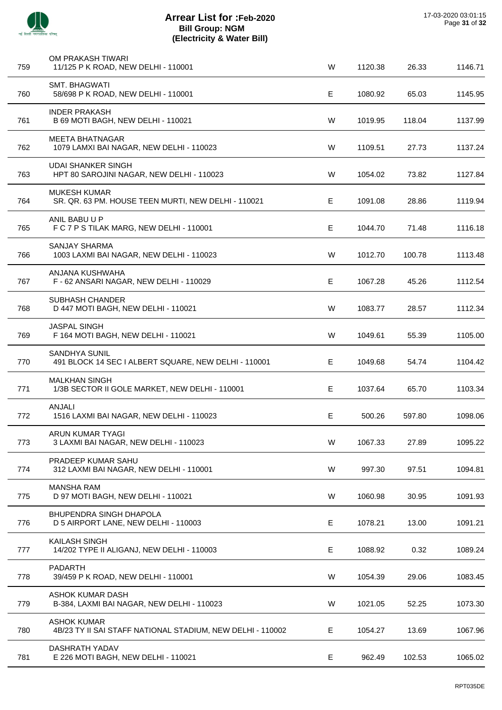

| 759 | OM PRAKASH TIWARI<br>11/125 P K ROAD, NEW DELHI - 110001                         | W | 1120.38 | 26.33  | 1146.71 |
|-----|----------------------------------------------------------------------------------|---|---------|--------|---------|
| 760 | SMT. BHAGWATI<br>58/698 P K ROAD, NEW DELHI - 110001                             | Е | 1080.92 | 65.03  | 1145.95 |
| 761 | <b>INDER PRAKASH</b><br>B 69 MOTI BAGH, NEW DELHI - 110021                       | W | 1019.95 | 118.04 | 1137.99 |
| 762 | <b>MEETA BHATNAGAR</b><br>1079 LAMXI BAI NAGAR, NEW DELHI - 110023               | W | 1109.51 | 27.73  | 1137.24 |
| 763 | <b>UDAI SHANKER SINGH</b><br>HPT 80 SAROJINI NAGAR, NEW DELHI - 110023           | W | 1054.02 | 73.82  | 1127.84 |
| 764 | <b>MUKESH KUMAR</b><br>SR. QR. 63 PM. HOUSE TEEN MURTI, NEW DELHI - 110021       | Е | 1091.08 | 28.86  | 1119.94 |
| 765 | ANIL BABU U P<br>F C 7 P S TILAK MARG, NEW DELHI - 110001                        | E | 1044.70 | 71.48  | 1116.18 |
| 766 | <b>SANJAY SHARMA</b><br>1003 LAXMI BAI NAGAR, NEW DELHI - 110023                 | W | 1012.70 | 100.78 | 1113.48 |
| 767 | ANJANA KUSHWAHA<br>F - 62 ANSARI NAGAR, NEW DELHI - 110029                       | Е | 1067.28 | 45.26  | 1112.54 |
| 768 | <b>SUBHASH CHANDER</b><br>D 447 MOTI BAGH, NEW DELHI - 110021                    | W | 1083.77 | 28.57  | 1112.34 |
| 769 | JASPAL SINGH<br>F 164 MOTI BAGH, NEW DELHI - 110021                              | W | 1049.61 | 55.39  | 1105.00 |
| 770 | SANDHYA SUNIL<br>491 BLOCK 14 SEC I ALBERT SQUARE, NEW DELHI - 110001            | Е | 1049.68 | 54.74  | 1104.42 |
| 771 | <b>MALKHAN SINGH</b><br>1/3B SECTOR II GOLE MARKET, NEW DELHI - 110001           | Е | 1037.64 | 65.70  | 1103.34 |
| 772 | ANJALI<br>1516 LAXMI BAI NAGAR, NEW DELHI - 110023                               | Е | 500.26  | 597.80 | 1098.06 |
| 773 | ARUN KUMAR TYAGI<br>3 LAXMI BAI NAGAR, NEW DELHI - 110023                        | W | 1067.33 | 27.89  | 1095.22 |
| 774 | PRADEEP KUMAR SAHU<br>312 LAXMI BAI NAGAR, NEW DELHI - 110001                    | W | 997.30  | 97.51  | 1094.81 |
| 775 | <b>MANSHA RAM</b><br>D 97 MOTI BAGH, NEW DELHI - 110021                          | W | 1060.98 | 30.95  | 1091.93 |
| 776 | <b>BHUPENDRA SINGH DHAPOLA</b><br>D 5 AIRPORT LANE, NEW DELHI - 110003           | Е | 1078.21 | 13.00  | 1091.21 |
| 777 | <b>KAILASH SINGH</b><br>14/202 TYPE II ALIGANJ, NEW DELHI - 110003               | Е | 1088.92 | 0.32   | 1089.24 |
| 778 | <b>PADARTH</b><br>39/459 P K ROAD, NEW DELHI - 110001                            | W | 1054.39 | 29.06  | 1083.45 |
| 779 | <b>ASHOK KUMAR DASH</b><br>B-384, LAXMI BAI NAGAR, NEW DELHI - 110023            | W | 1021.05 | 52.25  | 1073.30 |
| 780 | <b>ASHOK KUMAR</b><br>4B/23 TY II SAI STAFF NATIONAL STADIUM, NEW DELHI - 110002 | Е | 1054.27 | 13.69  | 1067.96 |
| 781 | DASHRATH YADAV<br>E 226 MOTI BAGH, NEW DELHI - 110021                            | Е | 962.49  | 102.53 | 1065.02 |